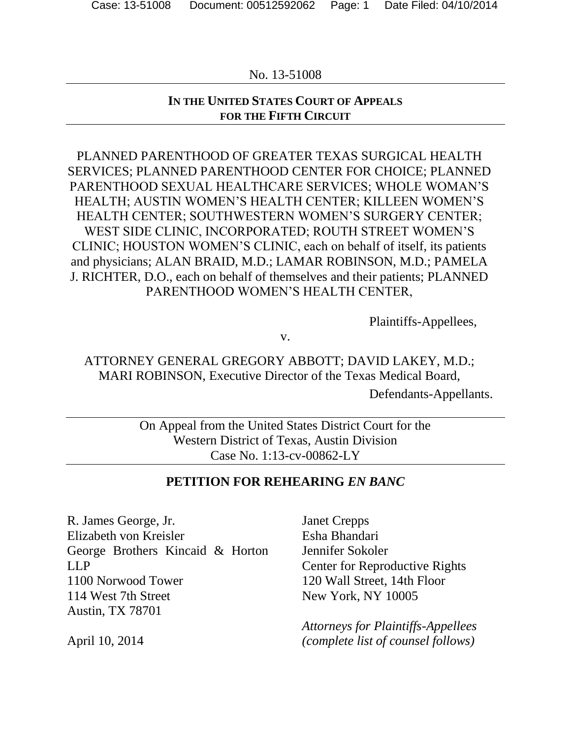# **IN THE UNITED STATES COURT OF APPEALS FOR THE FIFTH CIRCUIT**

PLANNED PARENTHOOD OF GREATER TEXAS SURGICAL HEALTH SERVICES; PLANNED PARENTHOOD CENTER FOR CHOICE; PLANNED PARENTHOOD SEXUAL HEALTHCARE SERVICES; WHOLE WOMAN'S HEALTH; AUSTIN WOMEN'S HEALTH CENTER; KILLEEN WOMEN'S HEALTH CENTER; SOUTHWESTERN WOMEN'S SURGERY CENTER; WEST SIDE CLINIC, INCORPORATED; ROUTH STREET WOMEN'S CLINIC; HOUSTON WOMEN'S CLINIC, each on behalf of itself, its patients and physicians; ALAN BRAID, M.D.; LAMAR ROBINSON, M.D.; PAMELA J. RICHTER, D.O., each on behalf of themselves and their patients; PLANNED PARENTHOOD WOMEN'S HEALTH CENTER,

Plaintiffs-Appellees,

v.

ATTORNEY GENERAL GREGORY ABBOTT; DAVID LAKEY, M.D.; MARI ROBINSON, Executive Director of the Texas Medical Board,

Defendants-Appellants.

On Appeal from the United States District Court for the Western District of Texas, Austin Division Case No. 1:13-cv-00862-LY

## **PETITION FOR REHEARING** *EN BANC*

R. James George, Jr. Elizabeth von Kreisler George Brothers Kincaid & Horton LLP 1100 Norwood Tower 114 West 7th Street Austin, TX 78701

April 10, 2014

Janet Crepps Esha Bhandari Jennifer Sokoler Center for Reproductive Rights 120 Wall Street, 14th Floor New York, NY 10005

*Attorneys for Plaintiffs-Appellees (complete list of counsel follows)*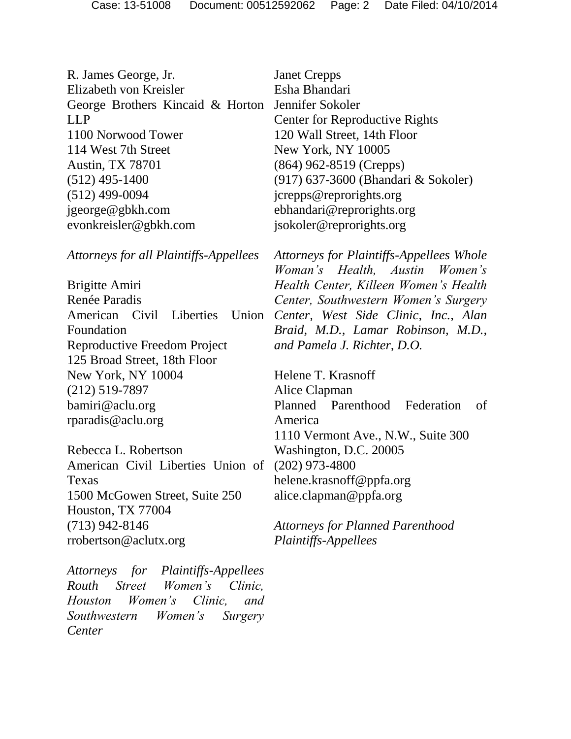R. James George, Jr. Elizabeth von Kreisler George Brothers Kincaid & Horton LLP 1100 Norwood Tower 114 West 7th Street Austin, TX 78701 (512) 495-1400 (512) 499-0094 jgeorge@gbkh.com evonkreisler@gbkh.com

*Attorneys for all Plaintiffs-Appellees*

Brigitte Amiri Renée Paradis American Civil Liberties Foundation Reproductive Freedom Project 125 Broad Street, 18th Floor New York, NY 10004 (212) 519-7897 bamiri@aclu.org rparadis@aclu.org

Rebecca L. Robertson American Civil Liberties Union of Texas 1500 McGowen Street, Suite 250 Houston, TX 77004 (713) 942-8146 rrobertson@aclutx.org

*Attorneys for Plaintiffs-Appellees Routh Street Women's Clinic, Houston Women's Clinic, and Southwestern Women's Surgery Center* 

Janet Crepps Esha Bhandari Jennifer Sokoler Center for Reproductive Rights 120 Wall Street, 14th Floor New York, NY 10005 (864) 962-8519 (Crepps) (917) 637-3600 (Bhandari & Sokoler) jcrepps@reprorights.org ebhandari@reprorights.org jsokoler@reprorights.org

*Attorneys for Plaintiffs-Appellees Whole Woman's Health, Austin Women's Health Center, Killeen Women's Health Center, Southwestern Women's Surgery Center, West Side Clinic, Inc., Alan Braid, M.D., Lamar Robinson, M.D., and Pamela J. Richter, D.O.*

> Helene T. Krasnoff Alice Clapman Planned Parenthood Federation of America 1110 Vermont Ave., N.W., Suite 300 Washington, D.C. 20005 (202) 973-4800 helene.krasnoff@ppfa.org alice.clapman@ppfa.org

*Attorneys for Planned Parenthood Plaintiffs-Appellees*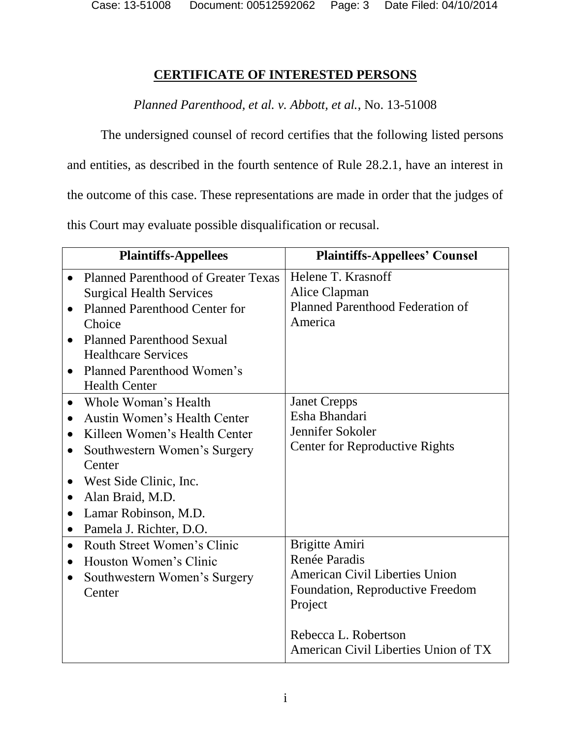# **CERTIFICATE OF INTERESTED PERSONS**

*Planned Parenthood, et al. v. Abbott, et al.*, No. 13-51008

The undersigned counsel of record certifies that the following listed persons and entities, as described in the fourth sentence of Rule 28.2.1, have an interest in the outcome of this case. These representations are made in order that the judges of this Court may evaluate possible disqualification or recusal.

|           | <b>Plaintiffs-Appellees</b>          | <b>Plaintiffs-Appellees' Counsel</b>    |
|-----------|--------------------------------------|-----------------------------------------|
|           | Planned Parenthood of Greater Texas  | Helene T. Krasnoff                      |
|           | <b>Surgical Health Services</b>      | Alice Clapman                           |
| $\bullet$ | <b>Planned Parenthood Center for</b> | <b>Planned Parenthood Federation of</b> |
|           | Choice                               | America                                 |
| $\bullet$ | <b>Planned Parenthood Sexual</b>     |                                         |
|           | <b>Healthcare Services</b>           |                                         |
| $\bullet$ | Planned Parenthood Women's           |                                         |
|           | <b>Health Center</b>                 |                                         |
| $\bullet$ | Whole Woman's Health                 | <b>Janet Crepps</b>                     |
| $\bullet$ | Austin Women's Health Center         | Esha Bhandari                           |
| $\bullet$ | Killeen Women's Health Center        | Jennifer Sokoler                        |
| $\bullet$ | Southwestern Women's Surgery         | <b>Center for Reproductive Rights</b>   |
|           | Center                               |                                         |
|           | West Side Clinic, Inc.               |                                         |
| $\bullet$ | Alan Braid, M.D.                     |                                         |
| $\bullet$ | Lamar Robinson, M.D.                 |                                         |
| $\bullet$ | Pamela J. Richter, D.O.              |                                         |
| $\bullet$ | Routh Street Women's Clinic          | Brigitte Amiri                          |
| $\bullet$ | Houston Women's Clinic               | Renée Paradis                           |
| $\bullet$ | Southwestern Women's Surgery         | <b>American Civil Liberties Union</b>   |
|           | Center                               | Foundation, Reproductive Freedom        |
|           |                                      | Project                                 |
|           |                                      |                                         |
|           |                                      | Rebecca L. Robertson                    |
|           |                                      | American Civil Liberties Union of TX    |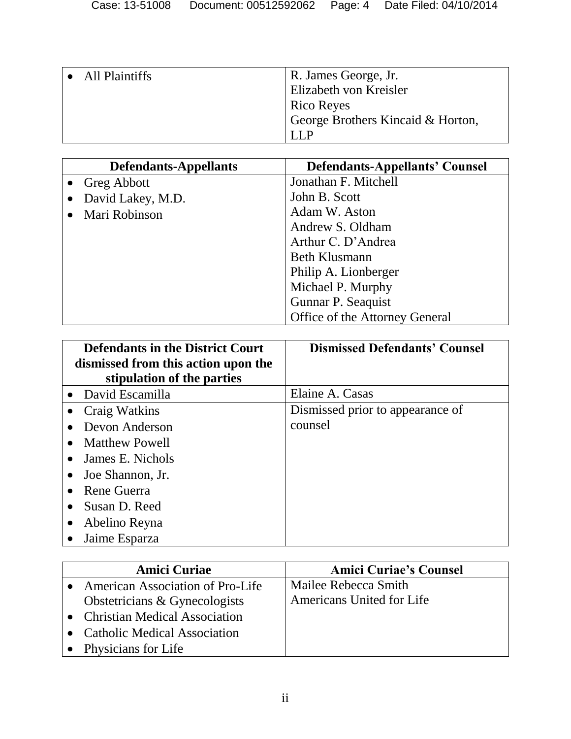| All Plaintiffs | R. James George, Jr.              |
|----------------|-----------------------------------|
|                | Elizabeth von Kreisler            |
|                | Rico Reyes                        |
|                | George Brothers Kincaid & Horton, |
|                |                                   |
|                |                                   |

| <b>Defendants-Appellants</b> | <b>Defendants-Appellants' Counsel</b> |
|------------------------------|---------------------------------------|
| • Greg Abbott                | Jonathan F. Mitchell                  |
| David Lakey, M.D.            | John B. Scott                         |
| Mari Robinson                | Adam W. Aston                         |
|                              | Andrew S. Oldham                      |
|                              | Arthur C. D'Andrea                    |
|                              | <b>Beth Klusmann</b>                  |
|                              | Philip A. Lionberger                  |
|                              | Michael P. Murphy                     |
|                              | Gunnar P. Seaquist                    |
|                              | Office of the Attorney General        |

| <b>Defendants in the District Court</b><br>dismissed from this action upon the | <b>Dismissed Defendants' Counsel</b> |
|--------------------------------------------------------------------------------|--------------------------------------|
| stipulation of the parties                                                     |                                      |
| • David Escamilla                                                              | Elaine A. Casas                      |
| Craig Watkins                                                                  | Dismissed prior to appearance of     |
| Devon Anderson                                                                 | counsel                              |
| <b>Matthew Powell</b><br>$\bullet$                                             |                                      |
| James E. Nichols                                                               |                                      |
| Joe Shannon, Jr.<br>$\bullet$                                                  |                                      |
| Rene Guerra<br>$\bullet$                                                       |                                      |
| Susan D. Reed<br>$\bullet$                                                     |                                      |
| Abelino Reyna                                                                  |                                      |
| Jaime Esparza                                                                  |                                      |

| <b>Amici Curiae</b>                     | <b>Amici Curiae's Counsel</b> |
|-----------------------------------------|-------------------------------|
| <b>American Association of Pro-Life</b> | Mailee Rebecca Smith          |
| Obstetricians & Gynecologists           | Americans United for Life     |
| • Christian Medical Association         |                               |
| • Catholic Medical Association          |                               |
| • Physicians for Life                   |                               |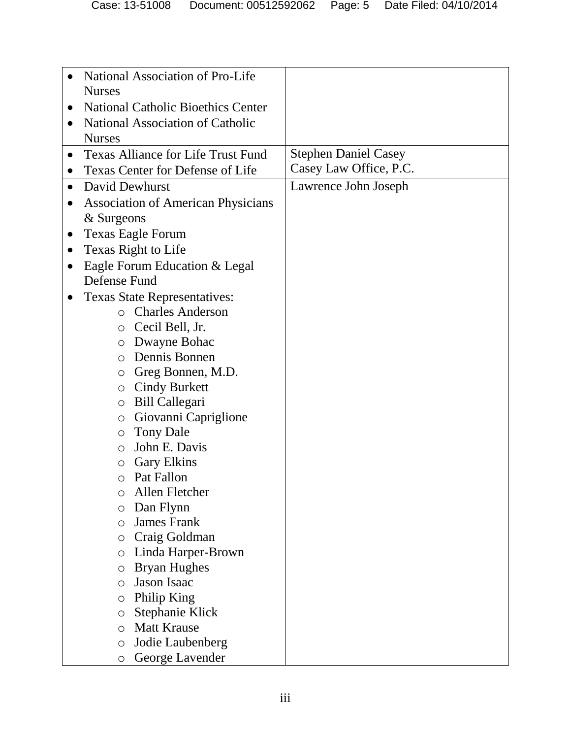| National Association of Pro-Life<br><b>Nurses</b><br><b>National Catholic Bioethics Center</b><br>$\bullet$<br>National Association of Catholic<br>$\bullet$<br><b>Nurses</b><br><b>Stephen Daniel Casey</b><br><b>Texas Alliance for Life Trust Fund</b><br>$\bullet$<br>Casey Law Office, P.C.<br>Texas Center for Defense of Life<br>$\bullet$<br>David Dewhurst<br>Lawrence John Joseph<br>$\bullet$<br><b>Association of American Physicians</b><br>& Surgeons<br><b>Texas Eagle Forum</b><br>$\bullet$<br>Texas Right to Life<br>$\bullet$<br>Eagle Forum Education & Legal<br>$\bullet$<br>Defense Fund<br><b>Texas State Representatives:</b><br>o Charles Anderson<br>o Cecil Bell, Jr.<br>o Dwayne Bohac<br>Dennis Bonnen<br>$\bigcirc$<br>Greg Bonnen, M.D.<br>$\bigcirc$<br>$\circ$ Cindy Burkett<br>Bill Callegari<br>$\circ$<br>Giovanni Capriglione<br>$\circ$<br><b>Tony Dale</b><br>$\circ$<br>John E. Davis<br>$\bigcirc$<br><b>Gary Elkins</b><br>$\bigcirc$<br>Pat Fallon<br>$\circ$<br>Allen Fletcher<br>∩<br>Dan Flynn<br>O<br><b>James Frank</b><br>$\circ$<br>Craig Goldman<br>O<br>Linda Harper-Brown<br>$\circ$<br><b>Bryan Hughes</b><br>$\circ$<br><b>Jason Isaac</b><br>$\bigcirc$<br>Philip King<br>$\circ$<br><b>Stephanie Klick</b><br>$\circ$<br><b>Matt Krause</b><br>$\bigcirc$<br>Jodie Laubenberg<br>$\circ$<br>George Lavender<br>$\circ$ |  |  |
|---------------------------------------------------------------------------------------------------------------------------------------------------------------------------------------------------------------------------------------------------------------------------------------------------------------------------------------------------------------------------------------------------------------------------------------------------------------------------------------------------------------------------------------------------------------------------------------------------------------------------------------------------------------------------------------------------------------------------------------------------------------------------------------------------------------------------------------------------------------------------------------------------------------------------------------------------------------------------------------------------------------------------------------------------------------------------------------------------------------------------------------------------------------------------------------------------------------------------------------------------------------------------------------------------------------------------------------------------------------------------------|--|--|
|                                                                                                                                                                                                                                                                                                                                                                                                                                                                                                                                                                                                                                                                                                                                                                                                                                                                                                                                                                                                                                                                                                                                                                                                                                                                                                                                                                                 |  |  |
|                                                                                                                                                                                                                                                                                                                                                                                                                                                                                                                                                                                                                                                                                                                                                                                                                                                                                                                                                                                                                                                                                                                                                                                                                                                                                                                                                                                 |  |  |
|                                                                                                                                                                                                                                                                                                                                                                                                                                                                                                                                                                                                                                                                                                                                                                                                                                                                                                                                                                                                                                                                                                                                                                                                                                                                                                                                                                                 |  |  |
|                                                                                                                                                                                                                                                                                                                                                                                                                                                                                                                                                                                                                                                                                                                                                                                                                                                                                                                                                                                                                                                                                                                                                                                                                                                                                                                                                                                 |  |  |
|                                                                                                                                                                                                                                                                                                                                                                                                                                                                                                                                                                                                                                                                                                                                                                                                                                                                                                                                                                                                                                                                                                                                                                                                                                                                                                                                                                                 |  |  |
|                                                                                                                                                                                                                                                                                                                                                                                                                                                                                                                                                                                                                                                                                                                                                                                                                                                                                                                                                                                                                                                                                                                                                                                                                                                                                                                                                                                 |  |  |
|                                                                                                                                                                                                                                                                                                                                                                                                                                                                                                                                                                                                                                                                                                                                                                                                                                                                                                                                                                                                                                                                                                                                                                                                                                                                                                                                                                                 |  |  |
|                                                                                                                                                                                                                                                                                                                                                                                                                                                                                                                                                                                                                                                                                                                                                                                                                                                                                                                                                                                                                                                                                                                                                                                                                                                                                                                                                                                 |  |  |
|                                                                                                                                                                                                                                                                                                                                                                                                                                                                                                                                                                                                                                                                                                                                                                                                                                                                                                                                                                                                                                                                                                                                                                                                                                                                                                                                                                                 |  |  |
|                                                                                                                                                                                                                                                                                                                                                                                                                                                                                                                                                                                                                                                                                                                                                                                                                                                                                                                                                                                                                                                                                                                                                                                                                                                                                                                                                                                 |  |  |
|                                                                                                                                                                                                                                                                                                                                                                                                                                                                                                                                                                                                                                                                                                                                                                                                                                                                                                                                                                                                                                                                                                                                                                                                                                                                                                                                                                                 |  |  |
|                                                                                                                                                                                                                                                                                                                                                                                                                                                                                                                                                                                                                                                                                                                                                                                                                                                                                                                                                                                                                                                                                                                                                                                                                                                                                                                                                                                 |  |  |
|                                                                                                                                                                                                                                                                                                                                                                                                                                                                                                                                                                                                                                                                                                                                                                                                                                                                                                                                                                                                                                                                                                                                                                                                                                                                                                                                                                                 |  |  |
|                                                                                                                                                                                                                                                                                                                                                                                                                                                                                                                                                                                                                                                                                                                                                                                                                                                                                                                                                                                                                                                                                                                                                                                                                                                                                                                                                                                 |  |  |
|                                                                                                                                                                                                                                                                                                                                                                                                                                                                                                                                                                                                                                                                                                                                                                                                                                                                                                                                                                                                                                                                                                                                                                                                                                                                                                                                                                                 |  |  |
|                                                                                                                                                                                                                                                                                                                                                                                                                                                                                                                                                                                                                                                                                                                                                                                                                                                                                                                                                                                                                                                                                                                                                                                                                                                                                                                                                                                 |  |  |
|                                                                                                                                                                                                                                                                                                                                                                                                                                                                                                                                                                                                                                                                                                                                                                                                                                                                                                                                                                                                                                                                                                                                                                                                                                                                                                                                                                                 |  |  |
|                                                                                                                                                                                                                                                                                                                                                                                                                                                                                                                                                                                                                                                                                                                                                                                                                                                                                                                                                                                                                                                                                                                                                                                                                                                                                                                                                                                 |  |  |
|                                                                                                                                                                                                                                                                                                                                                                                                                                                                                                                                                                                                                                                                                                                                                                                                                                                                                                                                                                                                                                                                                                                                                                                                                                                                                                                                                                                 |  |  |
|                                                                                                                                                                                                                                                                                                                                                                                                                                                                                                                                                                                                                                                                                                                                                                                                                                                                                                                                                                                                                                                                                                                                                                                                                                                                                                                                                                                 |  |  |
|                                                                                                                                                                                                                                                                                                                                                                                                                                                                                                                                                                                                                                                                                                                                                                                                                                                                                                                                                                                                                                                                                                                                                                                                                                                                                                                                                                                 |  |  |
|                                                                                                                                                                                                                                                                                                                                                                                                                                                                                                                                                                                                                                                                                                                                                                                                                                                                                                                                                                                                                                                                                                                                                                                                                                                                                                                                                                                 |  |  |
|                                                                                                                                                                                                                                                                                                                                                                                                                                                                                                                                                                                                                                                                                                                                                                                                                                                                                                                                                                                                                                                                                                                                                                                                                                                                                                                                                                                 |  |  |
|                                                                                                                                                                                                                                                                                                                                                                                                                                                                                                                                                                                                                                                                                                                                                                                                                                                                                                                                                                                                                                                                                                                                                                                                                                                                                                                                                                                 |  |  |
|                                                                                                                                                                                                                                                                                                                                                                                                                                                                                                                                                                                                                                                                                                                                                                                                                                                                                                                                                                                                                                                                                                                                                                                                                                                                                                                                                                                 |  |  |
|                                                                                                                                                                                                                                                                                                                                                                                                                                                                                                                                                                                                                                                                                                                                                                                                                                                                                                                                                                                                                                                                                                                                                                                                                                                                                                                                                                                 |  |  |
|                                                                                                                                                                                                                                                                                                                                                                                                                                                                                                                                                                                                                                                                                                                                                                                                                                                                                                                                                                                                                                                                                                                                                                                                                                                                                                                                                                                 |  |  |
|                                                                                                                                                                                                                                                                                                                                                                                                                                                                                                                                                                                                                                                                                                                                                                                                                                                                                                                                                                                                                                                                                                                                                                                                                                                                                                                                                                                 |  |  |
|                                                                                                                                                                                                                                                                                                                                                                                                                                                                                                                                                                                                                                                                                                                                                                                                                                                                                                                                                                                                                                                                                                                                                                                                                                                                                                                                                                                 |  |  |
|                                                                                                                                                                                                                                                                                                                                                                                                                                                                                                                                                                                                                                                                                                                                                                                                                                                                                                                                                                                                                                                                                                                                                                                                                                                                                                                                                                                 |  |  |
|                                                                                                                                                                                                                                                                                                                                                                                                                                                                                                                                                                                                                                                                                                                                                                                                                                                                                                                                                                                                                                                                                                                                                                                                                                                                                                                                                                                 |  |  |
|                                                                                                                                                                                                                                                                                                                                                                                                                                                                                                                                                                                                                                                                                                                                                                                                                                                                                                                                                                                                                                                                                                                                                                                                                                                                                                                                                                                 |  |  |
|                                                                                                                                                                                                                                                                                                                                                                                                                                                                                                                                                                                                                                                                                                                                                                                                                                                                                                                                                                                                                                                                                                                                                                                                                                                                                                                                                                                 |  |  |
|                                                                                                                                                                                                                                                                                                                                                                                                                                                                                                                                                                                                                                                                                                                                                                                                                                                                                                                                                                                                                                                                                                                                                                                                                                                                                                                                                                                 |  |  |
|                                                                                                                                                                                                                                                                                                                                                                                                                                                                                                                                                                                                                                                                                                                                                                                                                                                                                                                                                                                                                                                                                                                                                                                                                                                                                                                                                                                 |  |  |
|                                                                                                                                                                                                                                                                                                                                                                                                                                                                                                                                                                                                                                                                                                                                                                                                                                                                                                                                                                                                                                                                                                                                                                                                                                                                                                                                                                                 |  |  |
|                                                                                                                                                                                                                                                                                                                                                                                                                                                                                                                                                                                                                                                                                                                                                                                                                                                                                                                                                                                                                                                                                                                                                                                                                                                                                                                                                                                 |  |  |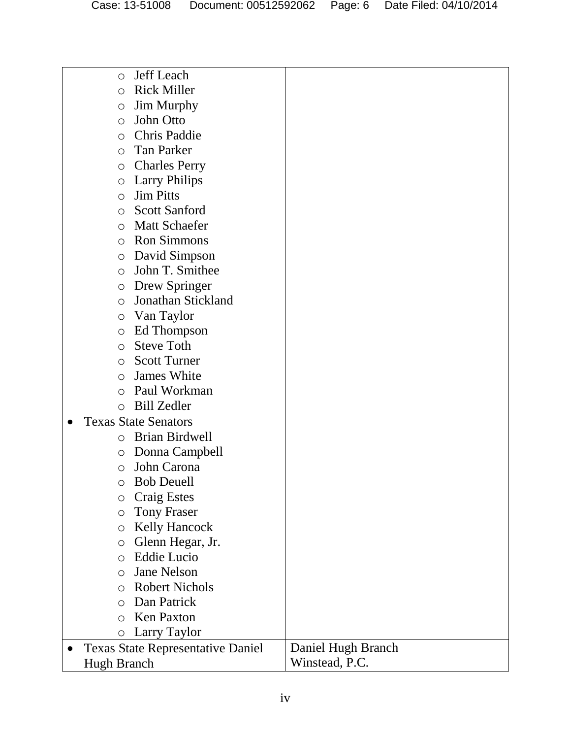| O                  | Jeff Leach                               |                    |
|--------------------|------------------------------------------|--------------------|
| О                  | <b>Rick Miller</b>                       |                    |
| O                  | <b>Jim Murphy</b>                        |                    |
| O                  | John Otto                                |                    |
| О                  | <b>Chris Paddie</b>                      |                    |
| O                  | Tan Parker                               |                    |
| O                  | <b>Charles Perry</b>                     |                    |
| O                  | <b>Larry Philips</b>                     |                    |
| O                  | <b>Jim Pitts</b>                         |                    |
| O                  | <b>Scott Sanford</b>                     |                    |
| O                  | <b>Matt Schaefer</b>                     |                    |
| О                  | <b>Ron Simmons</b>                       |                    |
| O                  | David Simpson                            |                    |
| O                  | John T. Smithee                          |                    |
| O                  | Drew Springer                            |                    |
| $\circ$            | Jonathan Stickland                       |                    |
| $\circ$            | Van Taylor                               |                    |
| O                  | Ed Thompson                              |                    |
| $\circ$            | <b>Steve Toth</b>                        |                    |
| O                  | <b>Scott Turner</b>                      |                    |
| O                  | James White                              |                    |
| O                  | Paul Workman                             |                    |
| O                  | <b>Bill Zedler</b>                       |                    |
|                    | <b>Texas State Senators</b>              |                    |
| O                  | Brian Birdwell                           |                    |
| O                  | Donna Campbell                           |                    |
| O                  | John Carona                              |                    |
| O                  | <b>Bob Deuell</b>                        |                    |
| O                  | <b>Craig Estes</b>                       |                    |
| $\circ$            | <b>Tony Fraser</b>                       |                    |
| O                  | <b>Kelly Hancock</b>                     |                    |
| О                  | Glenn Hegar, Jr.                         |                    |
| O                  | <b>Eddie Lucio</b>                       |                    |
| O                  | <b>Jane Nelson</b>                       |                    |
| O                  | <b>Robert Nichols</b>                    |                    |
| O                  | Dan Patrick                              |                    |
| O                  | <b>Ken Paxton</b>                        |                    |
| $\bigcirc$         | Larry Taylor                             |                    |
|                    | <b>Texas State Representative Daniel</b> | Daniel Hugh Branch |
| <b>Hugh Branch</b> |                                          | Winstead, P.C.     |
|                    |                                          |                    |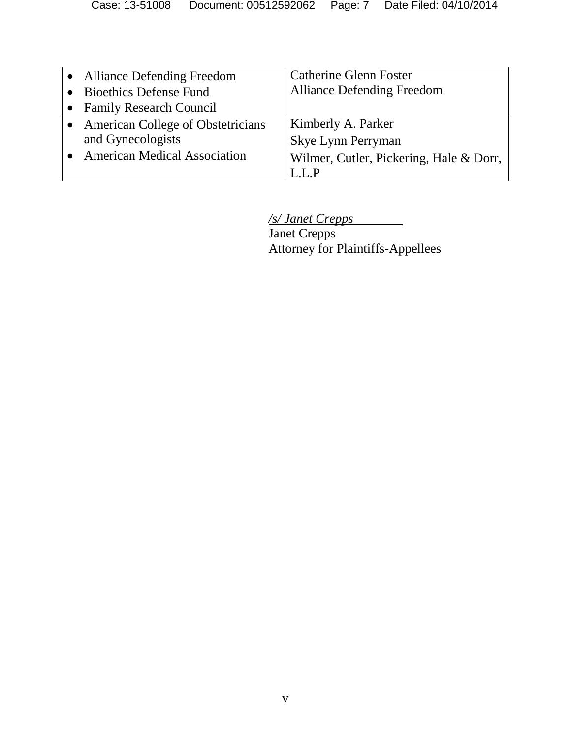| • Alliance Defending Freedom        | <b>Catherine Glenn Foster</b>           |
|-------------------------------------|-----------------------------------------|
| <b>Bioethics Defense Fund</b>       | <b>Alliance Defending Freedom</b>       |
| • Family Research Council           |                                         |
| • American College of Obstetricians | Kimberly A. Parker                      |
| and Gynecologists                   | Skye Lynn Perryman                      |
| <b>American Medical Association</b> | Wilmer, Cutler, Pickering, Hale & Dorr, |
|                                     |                                         |

*/s/ Janet Crepps*

Janet Crepps Attorney for Plaintiffs-Appellees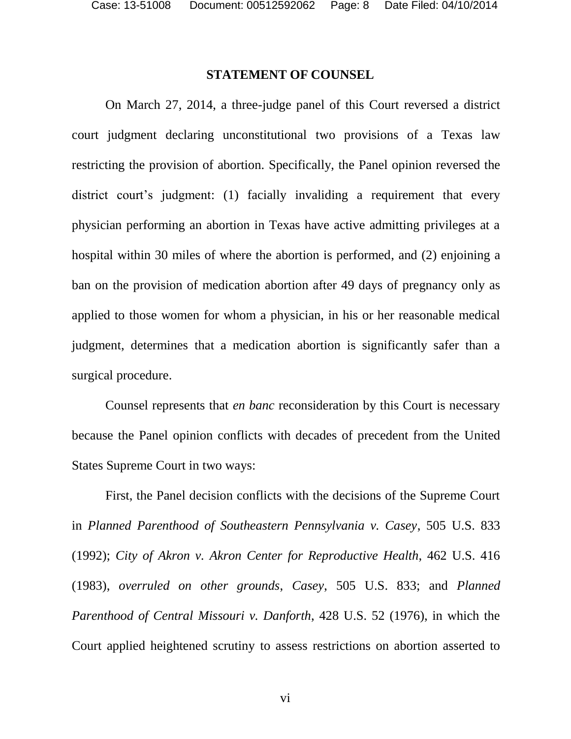# **STATEMENT OF COUNSEL**

On March 27, 2014, a three-judge panel of this Court reversed a district court judgment declaring unconstitutional two provisions of a Texas law restricting the provision of abortion. Specifically, the Panel opinion reversed the district court's judgment: (1) facially invaliding a requirement that every physician performing an abortion in Texas have active admitting privileges at a hospital within 30 miles of where the abortion is performed, and (2) enjoining a ban on the provision of medication abortion after 49 days of pregnancy only as applied to those women for whom a physician, in his or her reasonable medical judgment, determines that a medication abortion is significantly safer than a surgical procedure.

Counsel represents that *en banc* reconsideration by this Court is necessary because the Panel opinion conflicts with decades of precedent from the United States Supreme Court in two ways:

First, the Panel decision conflicts with the decisions of the Supreme Court in *Planned Parenthood of Southeastern Pennsylvania v. Casey*, 505 U.S. 833 (1992); *City of Akron v. Akron Center for Reproductive Health*, 462 U.S. 416 (1983), *overruled on other grounds*, *Casey*, 505 U.S. 833; and *Planned Parenthood of Central Missouri v. Danforth*, 428 U.S. 52 (1976), in which the Court applied heightened scrutiny to assess restrictions on abortion asserted to

vi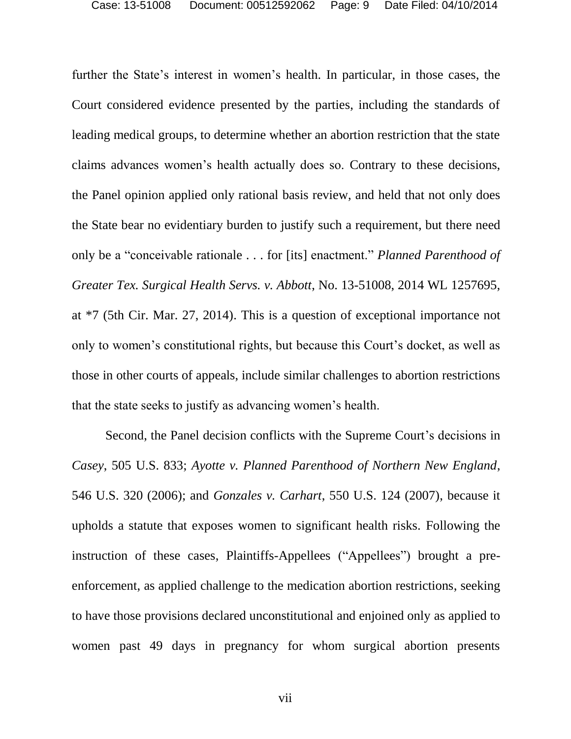further the State's interest in women's health. In particular, in those cases, the Court considered evidence presented by the parties, including the standards of leading medical groups, to determine whether an abortion restriction that the state claims advances women's health actually does so. Contrary to these decisions, the Panel opinion applied only rational basis review, and held that not only does the State bear no evidentiary burden to justify such a requirement, but there need only be a "conceivable rationale . . . for [its] enactment." *Planned Parenthood of Greater Tex. Surgical Health Servs. v. Abbott*, No. 13-51008, 2014 WL 1257695, at \*7 (5th Cir. Mar. 27, 2014). This is a question of exceptional importance not only to women's constitutional rights, but because this Court's docket, as well as those in other courts of appeals, include similar challenges to abortion restrictions that the state seeks to justify as advancing women's health.

Second, the Panel decision conflicts with the Supreme Court's decisions in *Casey*, 505 U.S. 833; *Ayotte v. Planned Parenthood of Northern New England*, 546 U.S. 320 (2006); and *Gonzales v. Carhart*, 550 U.S. 124 (2007), because it upholds a statute that exposes women to significant health risks. Following the instruction of these cases, Plaintiffs-Appellees ("Appellees") brought a preenforcement, as applied challenge to the medication abortion restrictions, seeking to have those provisions declared unconstitutional and enjoined only as applied to women past 49 days in pregnancy for whom surgical abortion presents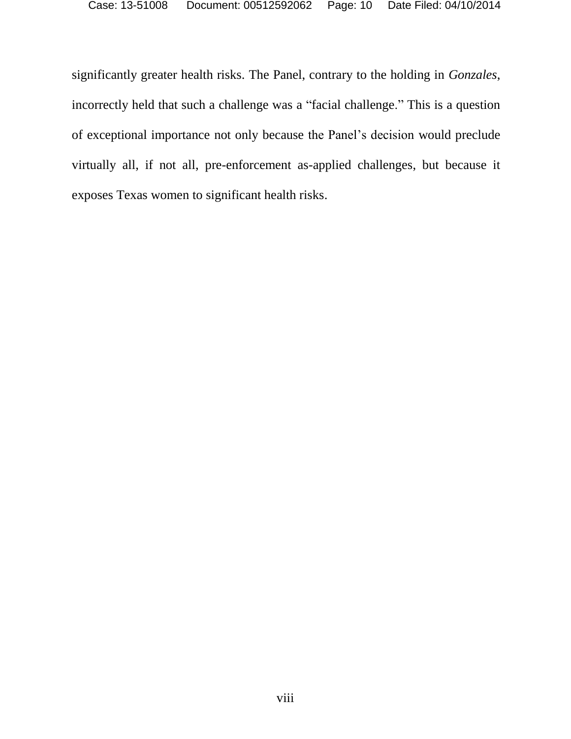significantly greater health risks. The Panel, contrary to the holding in *Gonzales*, incorrectly held that such a challenge was a "facial challenge." This is a question of exceptional importance not only because the Panel's decision would preclude virtually all, if not all, pre-enforcement as-applied challenges, but because it exposes Texas women to significant health risks.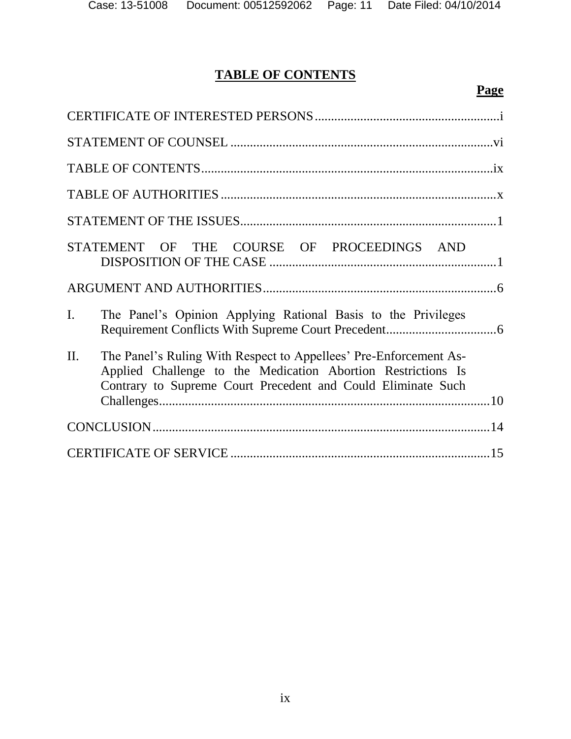# **TABLE OF CONTENTS**

| STATEMENT OF THE COURSE OF PROCEEDINGS AND                                                                                                                                                               |
|----------------------------------------------------------------------------------------------------------------------------------------------------------------------------------------------------------|
|                                                                                                                                                                                                          |
| $\mathbf{I}$ .<br>The Panel's Opinion Applying Rational Basis to the Privileges                                                                                                                          |
| II.<br>The Panel's Ruling With Respect to Appellees' Pre-Enforcement As-<br>Applied Challenge to the Medication Abortion Restrictions Is<br>Contrary to Supreme Court Precedent and Could Eliminate Such |
|                                                                                                                                                                                                          |
|                                                                                                                                                                                                          |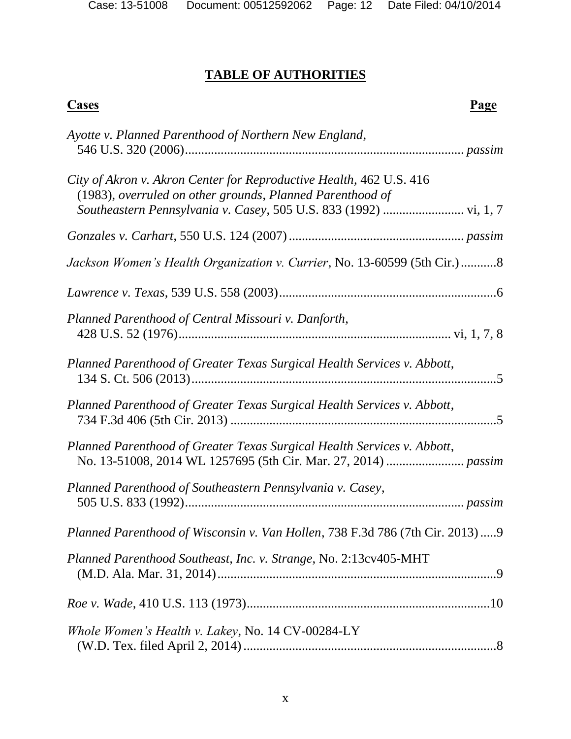# **TABLE OF AUTHORITIES**

# **Cases Page**

| Ayotte v. Planned Parenthood of Northern New England,                                                                            |
|----------------------------------------------------------------------------------------------------------------------------------|
| City of Akron v. Akron Center for Reproductive Health, 462 U.S. 416<br>(1983), overruled on other grounds, Planned Parenthood of |
|                                                                                                                                  |
| Jackson Women's Health Organization v. Currier, No. 13-60599 (5th Cir.) 8                                                        |
|                                                                                                                                  |
| Planned Parenthood of Central Missouri v. Danforth,                                                                              |
| Planned Parenthood of Greater Texas Surgical Health Services v. Abbott,                                                          |
| Planned Parenthood of Greater Texas Surgical Health Services v. Abbott,                                                          |
| Planned Parenthood of Greater Texas Surgical Health Services v. Abbott,                                                          |
| Planned Parenthood of Southeastern Pennsylvania v. Casey,                                                                        |
| Planned Parenthood of Wisconsin v. Van Hollen, 738 F.3d 786 (7th Cir. 2013)  9                                                   |
| Planned Parenthood Southeast, Inc. v. Strange, No. 2:13cv405-MHT                                                                 |
|                                                                                                                                  |
| Whole Women's Health v. Lakey, No. 14 CV-00284-LY                                                                                |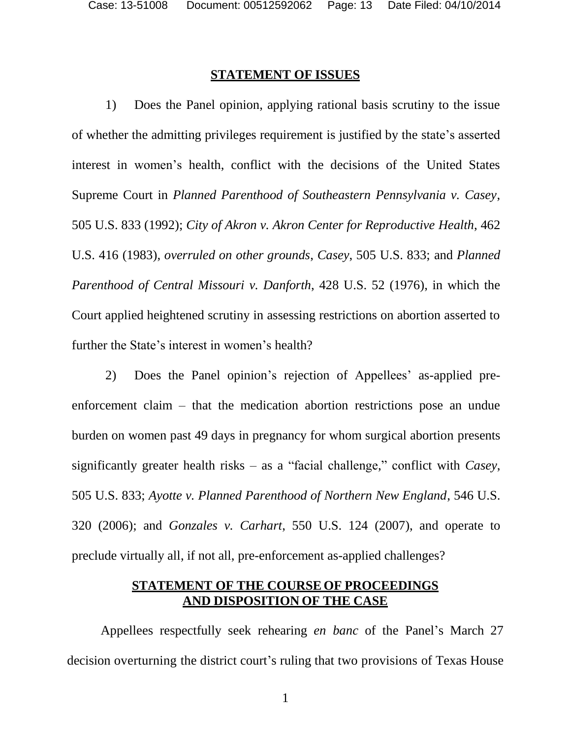#### **STATEMENT OF ISSUES**

1) Does the Panel opinion, applying rational basis scrutiny to the issue of whether the admitting privileges requirement is justified by the state's asserted interest in women's health, conflict with the decisions of the United States Supreme Court in *Planned Parenthood of Southeastern Pennsylvania v. Casey*, 505 U.S. 833 (1992); *City of Akron v. Akron Center for Reproductive Health*, 462 U.S. 416 (1983), *overruled on other grounds*, *Casey*, 505 U.S. 833; and *Planned Parenthood of Central Missouri v. Danforth*, 428 U.S. 52 (1976), in which the Court applied heightened scrutiny in assessing restrictions on abortion asserted to further the State's interest in women's health?

2) Does the Panel opinion's rejection of Appellees' as-applied preenforcement claim – that the medication abortion restrictions pose an undue burden on women past 49 days in pregnancy for whom surgical abortion presents significantly greater health risks – as a "facial challenge," conflict with *Casey*, 505 U.S. 833; *Ayotte v. Planned Parenthood of Northern New England*, 546 U.S. 320 (2006); and *Gonzales v. Carhart*, 550 U.S. 124 (2007), and operate to preclude virtually all, if not all, pre-enforcement as-applied challenges?

# **STATEMENT OF THE COURSE OF PROCEEDINGS AND DISPOSITION OF THE CASE**

Appellees respectfully seek rehearing *en banc* of the Panel's March 27 decision overturning the district court's ruling that two provisions of Texas House

1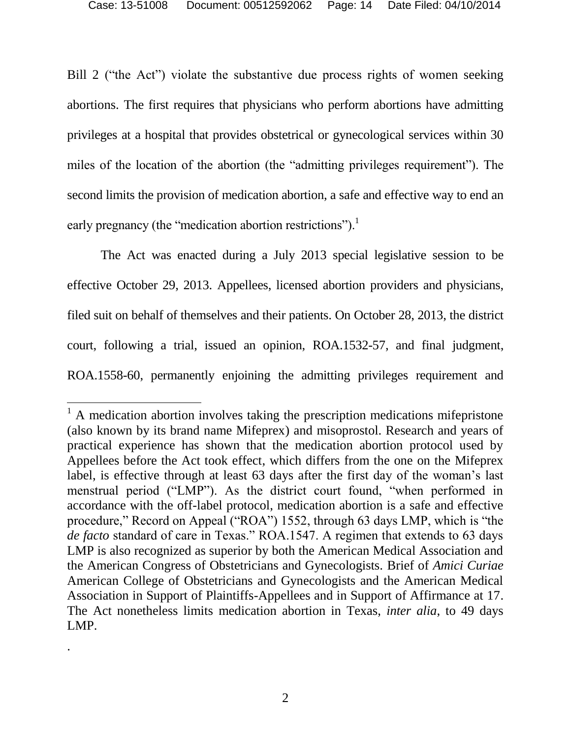Bill 2 ("the Act") violate the substantive due process rights of women seeking abortions. The first requires that physicians who perform abortions have admitting privileges at a hospital that provides obstetrical or gynecological services within 30 miles of the location of the abortion (the "admitting privileges requirement"). The second limits the provision of medication abortion, a safe and effective way to end an early pregnancy (the "medication abortion restrictions").<sup>1</sup>

The Act was enacted during a July 2013 special legislative session to be effective October 29, 2013. Appellees, licensed abortion providers and physicians, filed suit on behalf of themselves and their patients. On October 28, 2013, the district court, following a trial, issued an opinion, ROA.1532-57, and final judgment, ROA.1558-60, permanently enjoining the admitting privileges requirement and

 $\overline{\phantom{a}}$ 

.

 $<sup>1</sup>$  A medication abortion involves taking the prescription medications mifepristone</sup> (also known by its brand name Mifeprex) and misoprostol. Research and years of practical experience has shown that the medication abortion protocol used by Appellees before the Act took effect, which differs from the one on the Mifeprex label, is effective through at least 63 days after the first day of the woman's last menstrual period ("LMP"). As the district court found, "when performed in accordance with the off-label protocol, medication abortion is a safe and effective procedure," Record on Appeal ("ROA") 1552, through 63 days LMP, which is "the *de facto* standard of care in Texas." ROA.1547. A regimen that extends to 63 days LMP is also recognized as superior by both the American Medical Association and the American Congress of Obstetricians and Gynecologists. Brief of *Amici Curiae*  American College of Obstetricians and Gynecologists and the American Medical Association in Support of Plaintiffs-Appellees and in Support of Affirmance at 17. The Act nonetheless limits medication abortion in Texas, *inter alia*, to 49 days LMP.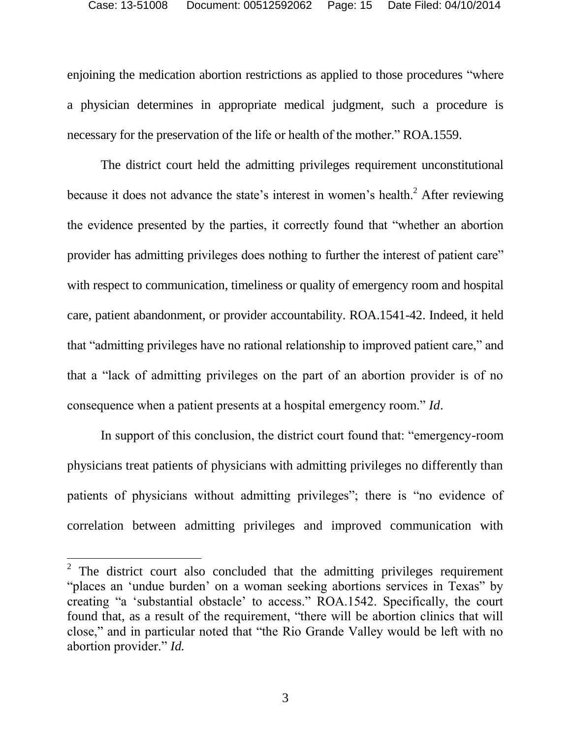enjoining the medication abortion restrictions as applied to those procedures "where a physician determines in appropriate medical judgment, such a procedure is necessary for the preservation of the life or health of the mother." ROA.1559.

The district court held the admitting privileges requirement unconstitutional because it does not advance the state's interest in women's health.<sup>2</sup> After reviewing the evidence presented by the parties, it correctly found that "whether an abortion provider has admitting privileges does nothing to further the interest of patient care" with respect to communication, timeliness or quality of emergency room and hospital care, patient abandonment, or provider accountability. ROA.1541-42. Indeed, it held that "admitting privileges have no rational relationship to improved patient care," and that a "lack of admitting privileges on the part of an abortion provider is of no consequence when a patient presents at a hospital emergency room." *Id*.

In support of this conclusion, the district court found that: "emergency-room physicians treat patients of physicians with admitting privileges no differently than patients of physicians without admitting privileges"; there is "no evidence of correlation between admitting privileges and improved communication with

 $\overline{\phantom{a}}$ 

<sup>&</sup>lt;sup>2</sup> The district court also concluded that the admitting privileges requirement "places an 'undue burden' on a woman seeking abortions services in Texas" by creating "a 'substantial obstacle' to access." ROA.1542. Specifically, the court found that, as a result of the requirement, "there will be abortion clinics that will close," and in particular noted that "the Rio Grande Valley would be left with no abortion provider." *Id.*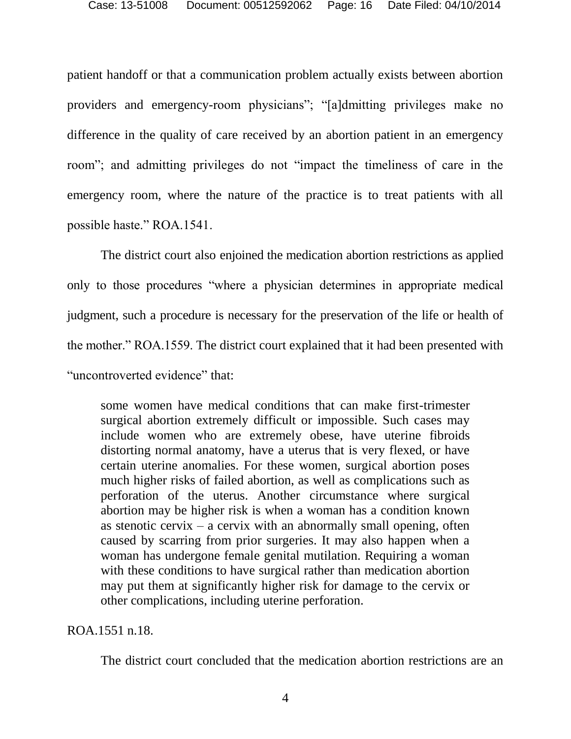patient handoff or that a communication problem actually exists between abortion providers and emergency-room physicians"; "[a]dmitting privileges make no difference in the quality of care received by an abortion patient in an emergency room"; and admitting privileges do not "impact the timeliness of care in the emergency room, where the nature of the practice is to treat patients with all possible haste." ROA.1541.

The district court also enjoined the medication abortion restrictions as applied only to those procedures "where a physician determines in appropriate medical judgment, such a procedure is necessary for the preservation of the life or health of the mother." ROA.1559. The district court explained that it had been presented with "uncontroverted evidence" that:

some women have medical conditions that can make first-trimester surgical abortion extremely difficult or impossible. Such cases may include women who are extremely obese, have uterine fibroids distorting normal anatomy, have a uterus that is very flexed, or have certain uterine anomalies. For these women, surgical abortion poses much higher risks of failed abortion, as well as complications such as perforation of the uterus. Another circumstance where surgical abortion may be higher risk is when a woman has a condition known as stenotic cervix – a cervix with an abnormally small opening, often caused by scarring from prior surgeries. It may also happen when a woman has undergone female genital mutilation. Requiring a woman with these conditions to have surgical rather than medication abortion may put them at significantly higher risk for damage to the cervix or other complications, including uterine perforation.

ROA.1551 n.18.

The district court concluded that the medication abortion restrictions are an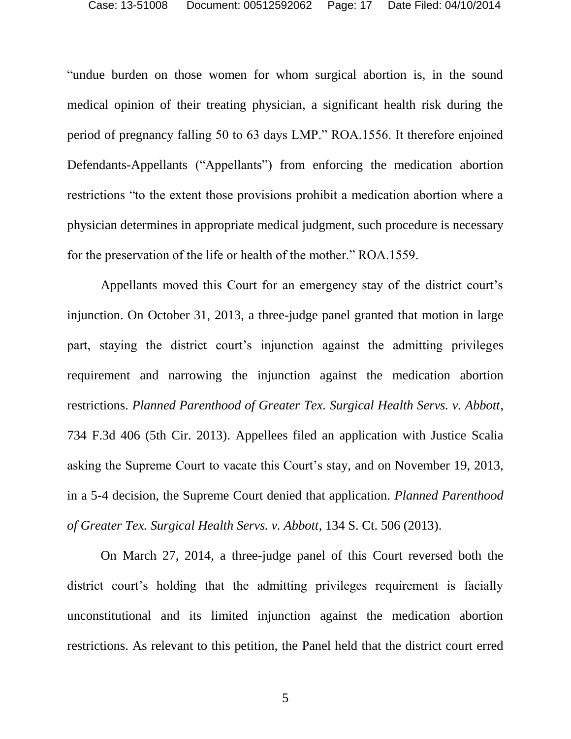"undue burden on those women for whom surgical abortion is, in the sound medical opinion of their treating physician, a significant health risk during the period of pregnancy falling 50 to 63 days LMP." ROA.1556. It therefore enjoined Defendants-Appellants ("Appellants") from enforcing the medication abortion restrictions "to the extent those provisions prohibit a medication abortion where a physician determines in appropriate medical judgment, such procedure is necessary for the preservation of the life or health of the mother." ROA.1559.

Appellants moved this Court for an emergency stay of the district court's injunction. On October 31, 2013, a three-judge panel granted that motion in large part, staying the district court's injunction against the admitting privileges requirement and narrowing the injunction against the medication abortion restrictions. *Planned Parenthood of Greater Tex. Surgical Health Servs. v. Abbott*, 734 F.3d 406 (5th Cir. 2013). Appellees filed an application with Justice Scalia asking the Supreme Court to vacate this Court's stay, and on November 19, 2013, in a 5-4 decision, the Supreme Court denied that application. *Planned Parenthood of Greater Tex. Surgical Health Servs. v. Abbott*, 134 S. Ct. 506 (2013).

On March 27, 2014, a three-judge panel of this Court reversed both the district court's holding that the admitting privileges requirement is facially unconstitutional and its limited injunction against the medication abortion restrictions. As relevant to this petition, the Panel held that the district court erred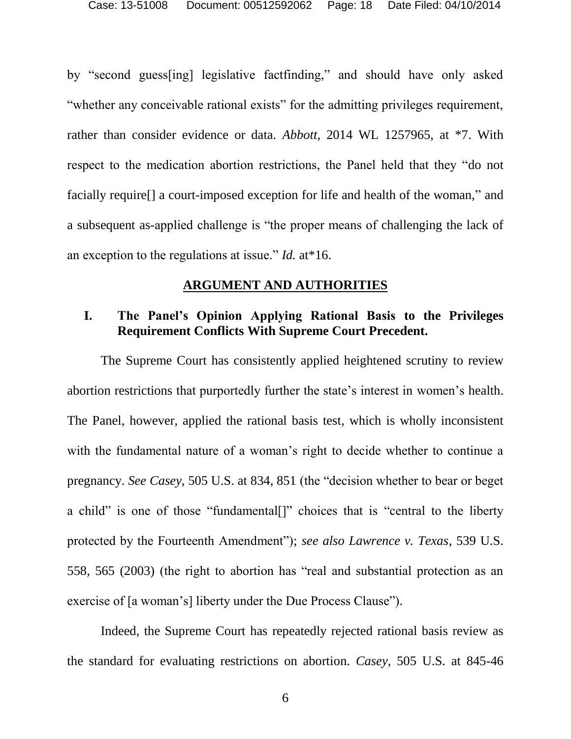by "second guess[ing] legislative factfinding," and should have only asked "whether any conceivable rational exists" for the admitting privileges requirement, rather than consider evidence or data. *Abbott*, 2014 WL 1257965, at \*7. With respect to the medication abortion restrictions, the Panel held that they "do not facially require[] a court-imposed exception for life and health of the woman," and a subsequent as-applied challenge is "the proper means of challenging the lack of an exception to the regulations at issue." *Id.* at\*16.

# **ARGUMENT AND AUTHORITIES**

# **I. The Panel's Opinion Applying Rational Basis to the Privileges Requirement Conflicts With Supreme Court Precedent.**

The Supreme Court has consistently applied heightened scrutiny to review abortion restrictions that purportedly further the state's interest in women's health. The Panel, however, applied the rational basis test, which is wholly inconsistent with the fundamental nature of a woman's right to decide whether to continue a pregnancy. *See Casey*, 505 U.S. at 834, 851 (the "decision whether to bear or beget a child" is one of those "fundamental[]" choices that is "central to the liberty protected by the Fourteenth Amendment"); *see also Lawrence v. Texas*, 539 U.S. 558, 565 (2003) (the right to abortion has "real and substantial protection as an exercise of [a woman's] liberty under the Due Process Clause").

Indeed, the Supreme Court has repeatedly rejected rational basis review as the standard for evaluating restrictions on abortion. *Casey*, 505 U.S. at 845-46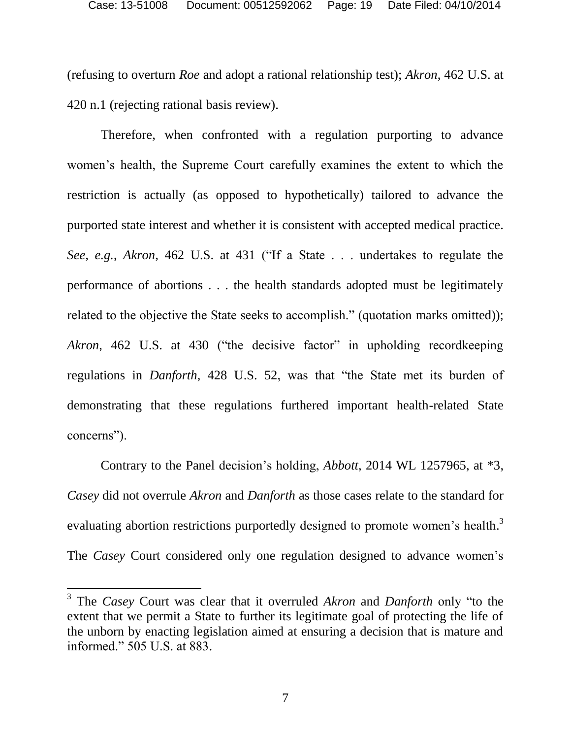(refusing to overturn *Roe* and adopt a rational relationship test); *Akron*, 462 U.S. at 420 n.1 (rejecting rational basis review).

Therefore, when confronted with a regulation purporting to advance women's health, the Supreme Court carefully examines the extent to which the restriction is actually (as opposed to hypothetically) tailored to advance the purported state interest and whether it is consistent with accepted medical practice. *See, e.g.*, *Akron*, 462 U.S. at 431 ("If a State . . . undertakes to regulate the performance of abortions . . . the health standards adopted must be legitimately related to the objective the State seeks to accomplish." (quotation marks omitted)); Akron, 462 U.S. at 430 ("the decisive factor" in upholding recordkeeping regulations in *Danforth*, 428 U.S. 52, was that "the State met its burden of demonstrating that these regulations furthered important health-related State concerns").

Contrary to the Panel decision's holding, *Abbott*, 2014 WL 1257965, at \*3, *Casey* did not overrule *Akron* and *Danforth* as those cases relate to the standard for evaluating abortion restrictions purportedly designed to promote women's health.<sup>3</sup> The *Casey* Court considered only one regulation designed to advance women's

 $\overline{\phantom{a}}$ 

<sup>3</sup> The *Casey* Court was clear that it overruled *Akron* and *Danforth* only "to the extent that we permit a State to further its legitimate goal of protecting the life of the unborn by enacting legislation aimed at ensuring a decision that is mature and informed." 505 U.S. at 883.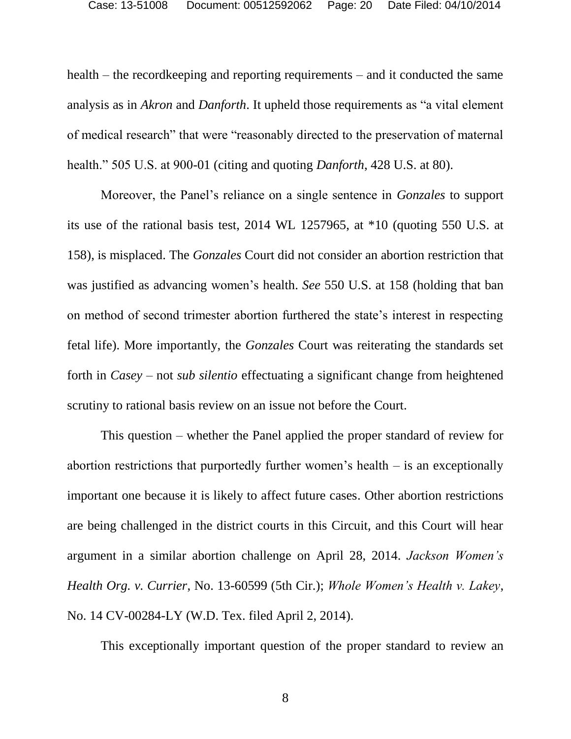health – the recordkeeping and reporting requirements – and it conducted the same analysis as in *Akron* and *Danforth*. It upheld those requirements as "a vital element of medical research" that were "reasonably directed to the preservation of maternal health." 505 U.S. at 900-01 (citing and quoting *Danforth*, 428 U.S. at 80).

Moreover, the Panel's reliance on a single sentence in *Gonzales* to support its use of the rational basis test, 2014 WL 1257965, at \*10 (quoting 550 U.S. at 158), is misplaced. The *Gonzales* Court did not consider an abortion restriction that was justified as advancing women's health. *See* 550 U.S. at 158 (holding that ban on method of second trimester abortion furthered the state's interest in respecting fetal life). More importantly, the *Gonzales* Court was reiterating the standards set forth in *Casey* – not *sub silentio* effectuating a significant change from heightened scrutiny to rational basis review on an issue not before the Court.

This question – whether the Panel applied the proper standard of review for abortion restrictions that purportedly further women's health – is an exceptionally important one because it is likely to affect future cases. Other abortion restrictions are being challenged in the district courts in this Circuit, and this Court will hear argument in a similar abortion challenge on April 28, 2014. *Jackson Women's Health Org. v. Currier*, No. 13-60599 (5th Cir.); *Whole Women's Health v. Lakey*, No. 14 CV-00284-LY (W.D. Tex. filed April 2, 2014).

This exceptionally important question of the proper standard to review an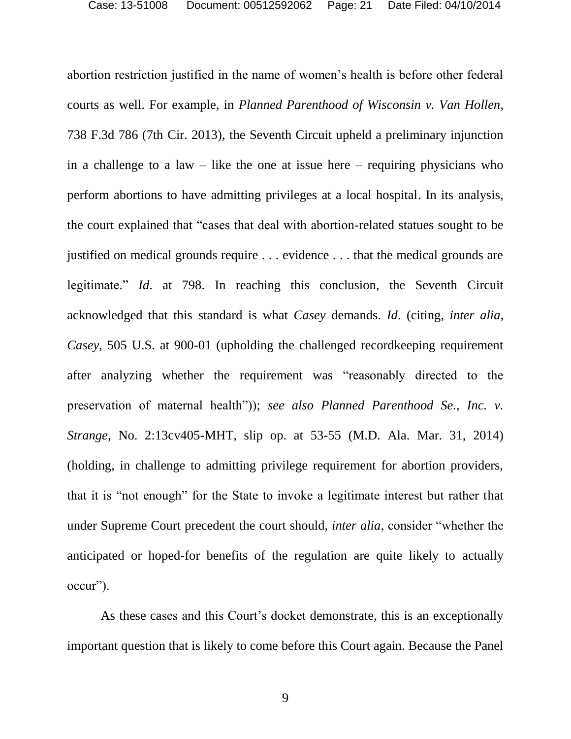abortion restriction justified in the name of women's health is before other federal courts as well. For example, in *Planned Parenthood of Wisconsin v. Van Hollen*, 738 F.3d 786 (7th Cir. 2013), the Seventh Circuit upheld a preliminary injunction in a challenge to a law – like the one at issue here – requiring physicians who perform abortions to have admitting privileges at a local hospital. In its analysis, the court explained that "cases that deal with abortion-related statues sought to be justified on medical grounds require . . . evidence . . . that the medical grounds are legitimate." *Id*. at 798. In reaching this conclusion, the Seventh Circuit acknowledged that this standard is what *Casey* demands. *Id*. (citing, *inter alia*, *Casey*, 505 U.S. at 900-01 (upholding the challenged recordkeeping requirement after analyzing whether the requirement was "reasonably directed to the preservation of maternal health")); *see also Planned Parenthood Se., Inc. v. Strange*, No. 2:13cv405-MHT, slip op. at 53-55 (M.D. Ala. Mar. 31, 2014) (holding, in challenge to admitting privilege requirement for abortion providers, that it is "not enough" for the State to invoke a legitimate interest but rather that under Supreme Court precedent the court should, *inter alia*, consider "whether the anticipated or hoped-for benefits of the regulation are quite likely to actually occur").

As these cases and this Court's docket demonstrate, this is an exceptionally important question that is likely to come before this Court again. Because the Panel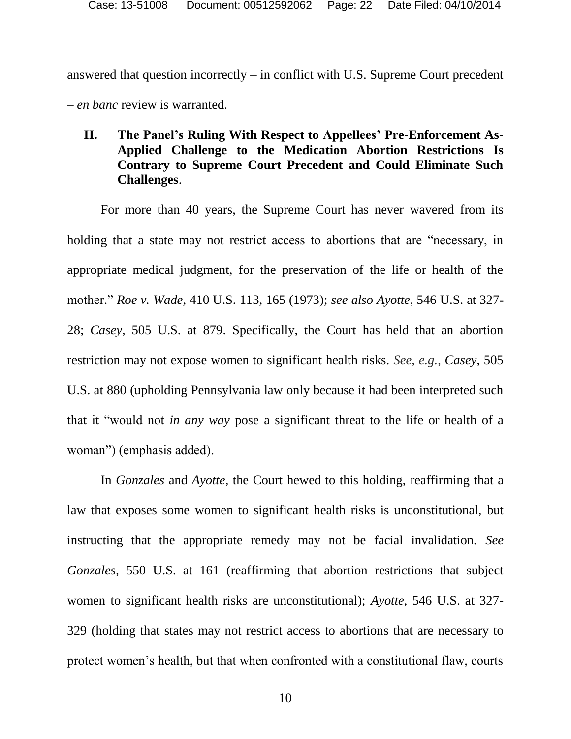answered that question incorrectly – in conflict with U.S. Supreme Court precedent – *en banc* review is warranted.

# **II. The Panel's Ruling With Respect to Appellees' Pre-Enforcement As-Applied Challenge to the Medication Abortion Restrictions Is Contrary to Supreme Court Precedent and Could Eliminate Such Challenges**.

For more than 40 years, the Supreme Court has never wavered from its holding that a state may not restrict access to abortions that are "necessary, in appropriate medical judgment, for the preservation of the life or health of the mother." *Roe v. Wade*, 410 U.S. 113, 165 (1973); *see also Ayotte*, 546 U.S. at 327- 28; *Casey*, 505 U.S. at 879. Specifically, the Court has held that an abortion restriction may not expose women to significant health risks. *See, e.g.*, *Casey*, 505 U.S. at 880 (upholding Pennsylvania law only because it had been interpreted such that it "would not *in any way* pose a significant threat to the life or health of a woman") (emphasis added).

In *Gonzales* and *Ayotte*, the Court hewed to this holding, reaffirming that a law that exposes some women to significant health risks is unconstitutional, but instructing that the appropriate remedy may not be facial invalidation. *See Gonzales*, 550 U.S. at 161 (reaffirming that abortion restrictions that subject women to significant health risks are unconstitutional); *Ayotte*, 546 U.S. at 327- 329 (holding that states may not restrict access to abortions that are necessary to protect women's health, but that when confronted with a constitutional flaw, courts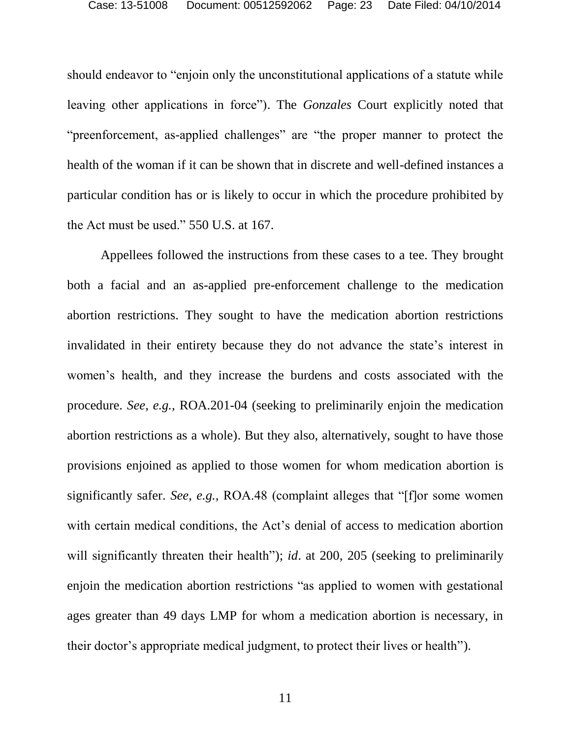should endeavor to "enjoin only the unconstitutional applications of a statute while leaving other applications in force"). The *Gonzales* Court explicitly noted that "preenforcement, as-applied challenges" are "the proper manner to protect the health of the woman if it can be shown that in discrete and well-defined instances a particular condition has or is likely to occur in which the procedure prohibited by the Act must be used." 550 U.S. at 167.

Appellees followed the instructions from these cases to a tee. They brought both a facial and an as-applied pre-enforcement challenge to the medication abortion restrictions. They sought to have the medication abortion restrictions invalidated in their entirety because they do not advance the state's interest in women's health, and they increase the burdens and costs associated with the procedure. *See, e.g.,* ROA.201-04 (seeking to preliminarily enjoin the medication abortion restrictions as a whole). But they also, alternatively, sought to have those provisions enjoined as applied to those women for whom medication abortion is significantly safer. *See*, *e.g.,* ROA.48 (complaint alleges that "[f]or some women with certain medical conditions, the Act's denial of access to medication abortion will significantly threaten their health"); *id.* at 200, 205 (seeking to preliminarily enjoin the medication abortion restrictions "as applied to women with gestational ages greater than 49 days LMP for whom a medication abortion is necessary, in their doctor's appropriate medical judgment, to protect their lives or health").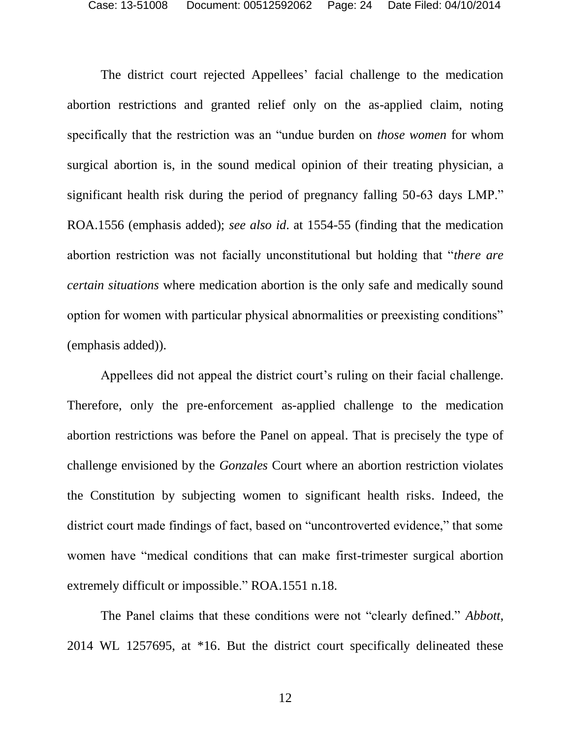The district court rejected Appellees' facial challenge to the medication abortion restrictions and granted relief only on the as-applied claim, noting specifically that the restriction was an "undue burden on *those women* for whom surgical abortion is, in the sound medical opinion of their treating physician, a significant health risk during the period of pregnancy falling 50-63 days LMP." ROA.1556 (emphasis added); *see also id*. at 1554-55 (finding that the medication abortion restriction was not facially unconstitutional but holding that "*there are certain situations* where medication abortion is the only safe and medically sound option for women with particular physical abnormalities or preexisting conditions" (emphasis added)).

Appellees did not appeal the district court's ruling on their facial challenge. Therefore, only the pre-enforcement as-applied challenge to the medication abortion restrictions was before the Panel on appeal. That is precisely the type of challenge envisioned by the *Gonzales* Court where an abortion restriction violates the Constitution by subjecting women to significant health risks. Indeed, the district court made findings of fact, based on "uncontroverted evidence," that some women have "medical conditions that can make first-trimester surgical abortion extremely difficult or impossible." ROA.1551 n.18.

The Panel claims that these conditions were not "clearly defined." *Abbott*, 2014 WL 1257695, at \*16. But the district court specifically delineated these

12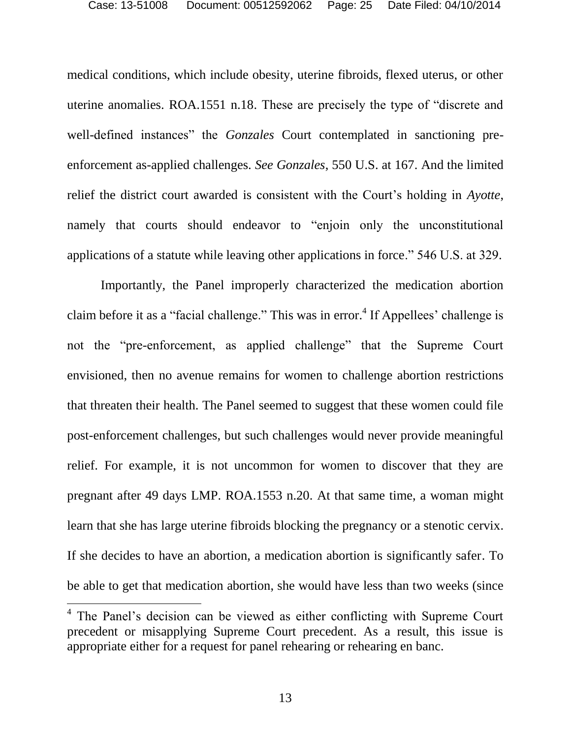medical conditions, which include obesity, uterine fibroids, flexed uterus, or other uterine anomalies. ROA.1551 n.18. These are precisely the type of "discrete and well-defined instances" the *Gonzales* Court contemplated in sanctioning preenforcement as-applied challenges. *See Gonzales*, 550 U.S. at 167. And the limited relief the district court awarded is consistent with the Court's holding in *Ayotte*, namely that courts should endeavor to "enjoin only the unconstitutional applications of a statute while leaving other applications in force." 546 U.S. at 329.

Importantly, the Panel improperly characterized the medication abortion claim before it as a "facial challenge." This was in error.<sup>4</sup> If Appellees' challenge is not the "pre-enforcement, as applied challenge" that the Supreme Court envisioned, then no avenue remains for women to challenge abortion restrictions that threaten their health. The Panel seemed to suggest that these women could file post-enforcement challenges, but such challenges would never provide meaningful relief. For example, it is not uncommon for women to discover that they are pregnant after 49 days LMP. ROA.1553 n.20. At that same time, a woman might learn that she has large uterine fibroids blocking the pregnancy or a stenotic cervix. If she decides to have an abortion, a medication abortion is significantly safer. To be able to get that medication abortion, she would have less than two weeks (since

 $\overline{\phantom{a}}$ 

<sup>&</sup>lt;sup>4</sup> The Panel's decision can be viewed as either conflicting with Supreme Court precedent or misapplying Supreme Court precedent. As a result, this issue is appropriate either for a request for panel rehearing or rehearing en banc.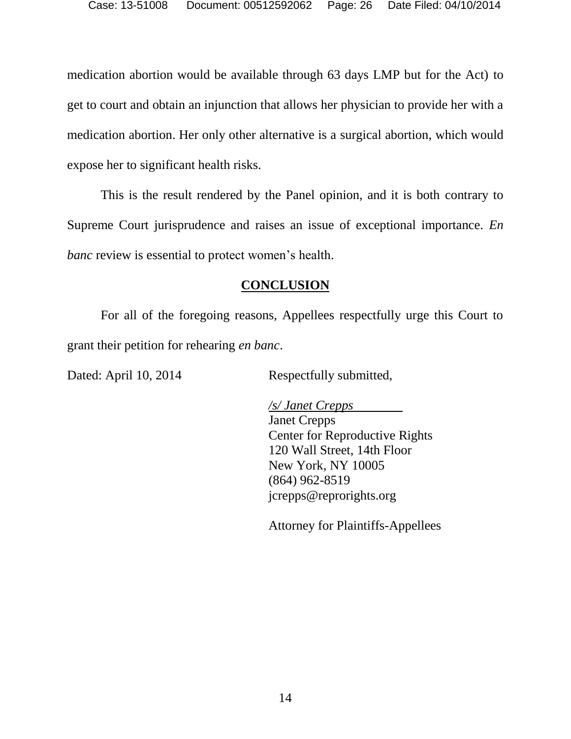medication abortion would be available through 63 days LMP but for the Act) to get to court and obtain an injunction that allows her physician to provide her with a medication abortion. Her only other alternative is a surgical abortion, which would expose her to significant health risks.

This is the result rendered by the Panel opinion, and it is both contrary to Supreme Court jurisprudence and raises an issue of exceptional importance. *En banc* review is essential to protect women's health.

# **CONCLUSION**

For all of the foregoing reasons, Appellees respectfully urge this Court to grant their petition for rehearing *en banc*.

Dated: April 10, 2014 Respectfully submitted,

*/s/ Janet Crepps* Janet Crepps Center for Reproductive Rights 120 Wall Street, 14th Floor New York, NY 10005 (864) 962-8519 jcrepps@reprorights.org

Attorney for Plaintiffs-Appellees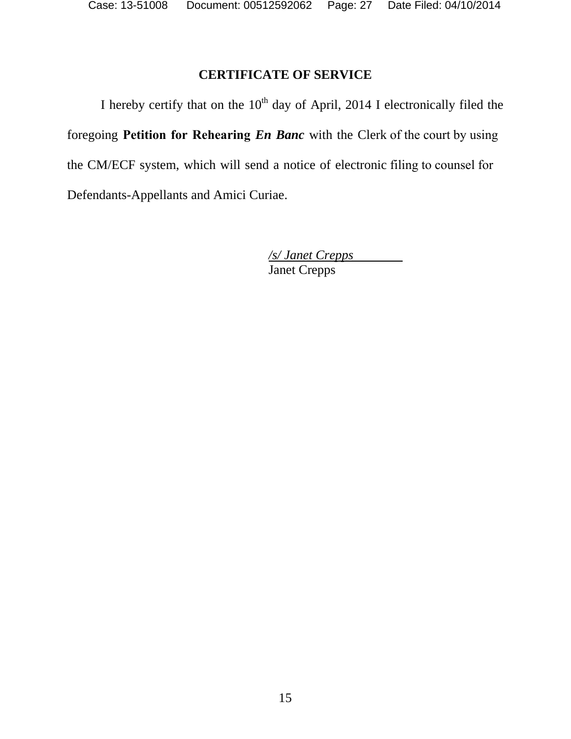# **CERTIFICATE OF SERVICE**

I hereby certify that on the  $10<sup>th</sup>$  day of April, 2014 I electronically filed the foregoing **Petition for Rehearing** *En Banc* with the Clerk of the court by using the CM/ECF system, which will send a notice of electronic filing to counsel for Defendants-Appellants and Amici Curiae.

> */s/ Janet Crepps*  Janet Crepps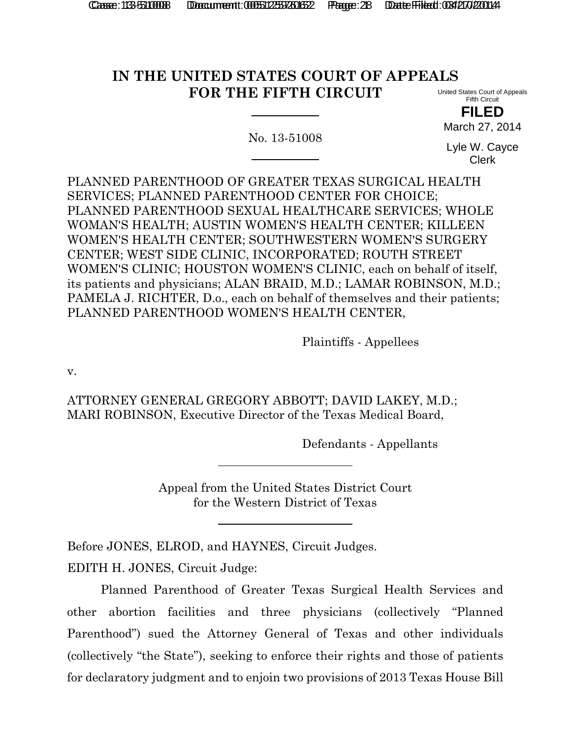# **IN THE UNITED STATES COURT OF APPEALS FOR THE FIFTH CIRCUIT**

No. 13-51008

United States Court of Appeals Fifth Circuit

**FILED** March 27, 2014

Lyle W. Cayce Clerk

PLANNED PARENTHOOD OF GREATER TEXAS SURGICAL HEALTH SERVICES; PLANNED PARENTHOOD CENTER FOR CHOICE; PLANNED PARENTHOOD SEXUAL HEALTHCARE SERVICES; WHOLE WOMAN'S HEALTH; AUSTIN WOMEN'S HEALTH CENTER; KILLEEN WOMEN'S HEALTH CENTER; SOUTHWESTERN WOMEN'S SURGERY CENTER; WEST SIDE CLINIC, INCORPORATED; ROUTH STREET WOMEN'S CLINIC; HOUSTON WOMEN'S CLINIC, each on behalf of itself, its patients and physicians; ALAN BRAID, M.D.; LAMAR ROBINSON, M.D.; PAMELA J. RICHTER, D.o., each on behalf of themselves and their patients; PLANNED PARENTHOOD WOMEN'S HEALTH CENTER,

Plaintiffs - Appellees

v.

ATTORNEY GENERAL GREGORY ABBOTT; DAVID LAKEY, M.D.; MARI ROBINSON, Executive Director of the Texas Medical Board,

Defendants - Appellants

Appeal from the United States District Court for the Western District of Texas

Before JONES, ELROD, and HAYNES, Circuit Judges. EDITH H. JONES, Circuit Judge:

Planned Parenthood of Greater Texas Surgical Health Services and other abortion facilities and three physicians (collectively "Planned Parenthood") sued the Attorney General of Texas and other individuals (collectively "the State"), seeking to enforce their rights and those of patients for declaratory judgment and to enjoin two provisions of 2013 Texas House Bill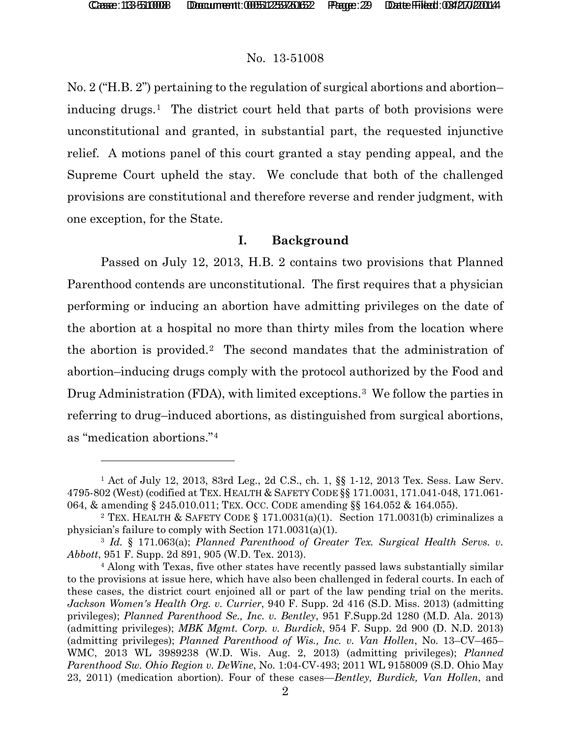l

### No. 13-51008

No. 2 ("H.B. 2") pertaining to the regulation of surgical abortions and abortion– inducing drugs.<sup>1</sup> The district court held that parts of both provisions were unconstitutional and granted, in substantial part, the requested injunctive relief. A motions panel of this court granted a stay pending appeal, and the Supreme Court upheld the stay. We conclude that both of the challenged provisions are constitutional and therefore reverse and render judgment, with one exception, for the State.

### **I. Background**

Passed on July 12, 2013, H.B. 2 contains two provisions that Planned Parenthood contends are unconstitutional. The first requires that a physician performing or inducing an abortion have admitting privileges on the date of the abortion at a hospital no more than thirty miles from the location where the abortion is provided.[2](#page-28-1) The second mandates that the administration of abortion–inducing drugs comply with the protocol authorized by the Food and Drug Administration (FDA), with limited exceptions.<sup>3</sup> We follow the parties in referring to drug–induced abortions, as distinguished from surgical abortions, as "medication abortions."[4](#page-28-3)

<span id="page-28-0"></span><sup>1</sup> Act of July 12, 2013, 83rd Leg., 2d C.S., ch. 1, §§ 1-12, 2013 Tex. Sess. Law Serv. 4795-802 (West) (codified at TEX. HEALTH & SAFETY CODE §§ 171.0031, 171.041-048, 171.061- 064, & amending § 245.010.011; TEX. OCC. CODE amending §§ 164.052 & 164.055).<br><sup>2</sup> TEX. HEALTH & SAFETY CODE § 171.0031(a)(1). Section 171.0031(b) criminalizes a

<span id="page-28-1"></span>physician's failure to comply with Section 171.0031(a)(1).

<span id="page-28-2"></span><sup>3</sup> *Id.* § 171.063(a); *Planned Parenthood of Greater Tex. Surgical Health Servs. v. Abbott*, 951 F. Supp. 2d 891, 905 (W.D. Tex. 2013).

<span id="page-28-3"></span><sup>4</sup> Along with Texas, five other states have recently passed laws substantially similar to the provisions at issue here, which have also been challenged in federal courts. In each of these cases, the district court enjoined all or part of the law pending trial on the merits. *Jackson Women's Health Org. v. Currier*, 940 F. Supp. 2d 416 (S.D. Miss. 2013) (admitting privileges); *Planned Parenthood Se., Inc. v. Bentley*, 951 F.Supp.2d 1280 (M.D. Ala. 2013) (admitting privileges); *MBK Mgmt. Corp. v. Burdick*, 954 F. Supp. 2d 900 (D. N.D. 2013) (admitting privileges); *Planned Parenthood of Wis., Inc. v. Van Hollen*, No. 13–CV–465– WMC, 2013 WL 3989238 (W.D. Wis. Aug. 2, 2013) (admitting privileges); *Planned Parenthood Sw. Ohio Region v. DeWine*, No. 1:04-CV-493; 2011 WL 9158009 (S.D. Ohio May 23, 2011) (medication abortion). Four of these cases—*Bentley, Burdick, Van Hollen*, and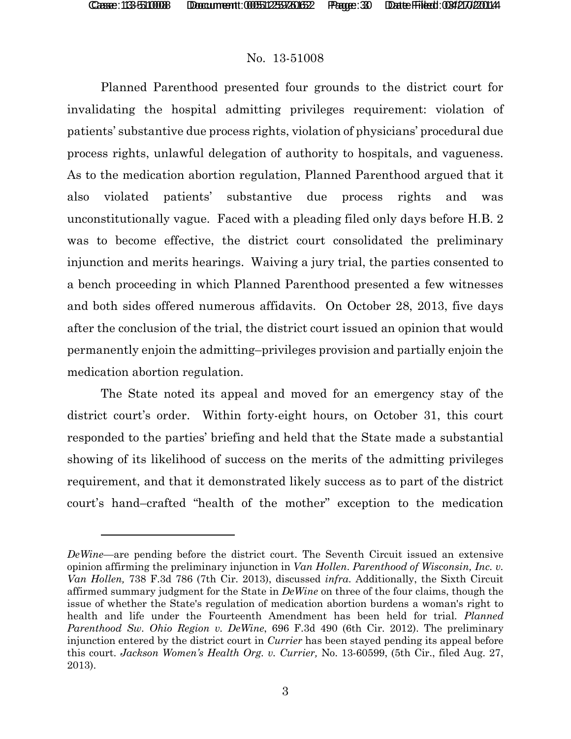$\overline{a}$ 

## No. 13-51008

Planned Parenthood presented four grounds to the district court for invalidating the hospital admitting privileges requirement: violation of patients' substantive due process rights, violation of physicians' procedural due process rights, unlawful delegation of authority to hospitals, and vagueness. As to the medication abortion regulation, Planned Parenthood argued that it also violated patients' substantive due process rights and was unconstitutionally vague. Faced with a pleading filed only days before H.B. 2 was to become effective, the district court consolidated the preliminary injunction and merits hearings. Waiving a jury trial, the parties consented to a bench proceeding in which Planned Parenthood presented a few witnesses and both sides offered numerous affidavits. On October 28, 2013, five days after the conclusion of the trial, the district court issued an opinion that would permanently enjoin the admitting–privileges provision and partially enjoin the medication abortion regulation.

The State noted its appeal and moved for an emergency stay of the district court's order. Within forty-eight hours, on October 31, this court responded to the parties' briefing and held that the State made a substantial showing of its likelihood of success on the merits of the admitting privileges requirement, and that it demonstrated likely success as to part of the district court's hand–crafted "health of the mother" exception to the medication

*DeWine*—are pending before the district court. The Seventh Circuit issued an extensive opinion affirming the preliminary injunction in *Van Hollen*. *Parenthood of Wisconsin, Inc. v. Van Hollen,* 738 F.3d 786 (7th Cir. 2013), discussed *infra*. Additionally, the Sixth Circuit affirmed summary judgment for the State in *DeWine* on three of the four claims, though the issue of whether the State's regulation of medication abortion burdens a woman's right to health and life under the Fourteenth Amendment has been held for trial. *Planned Parenthood Sw. Ohio Region v. DeWine*, 696 F.3d 490 (6th Cir. 2012). The preliminary injunction entered by the district court in *Currier* has been stayed pending its appeal before this court. *Jackson Women's Health Org. v. Currier,* No. 13-60599, (5th Cir., filed Aug. 27, 2013).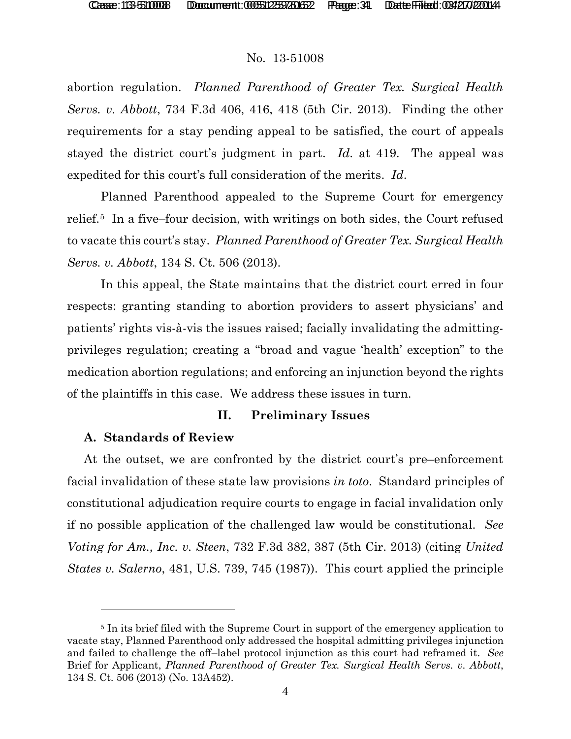abortion regulation. *Planned Parenthood of Greater Tex. Surgical Health Servs. v. Abbott*, 734 F.3d 406, 416, 418 (5th Cir. 2013). Finding the other requirements for a stay pending appeal to be satisfied, the court of appeals stayed the district court's judgment in part. *Id*. at 419. The appeal was expedited for this court's full consideration of the merits. *Id*.

Planned Parenthood appealed to the Supreme Court for emergency relief.[5](#page-30-0) In a five–four decision, with writings on both sides, the Court refused to vacate this court's stay. *Planned Parenthood of Greater Tex. Surgical Health Servs. v. Abbott*, 134 S. Ct. 506 (2013).

In this appeal, the State maintains that the district court erred in four respects: granting standing to abortion providers to assert physicians' and patients' rights vis-à-vis the issues raised; facially invalidating the admittingprivileges regulation; creating a "broad and vague 'health' exception" to the medication abortion regulations; and enforcing an injunction beyond the rights of the plaintiffs in this case. We address these issues in turn.

# **II. Preliminary Issues**

# **A. Standards of Review**

l

At the outset, we are confronted by the district court's pre–enforcement facial invalidation of these state law provisions *in toto*. Standard principles of constitutional adjudication require courts to engage in facial invalidation only if no possible application of the challenged law would be constitutional. *See Voting for Am., Inc. v. Steen*, 732 F.3d 382, 387 (5th Cir. 2013) (citing *United States v. Salerno*, 481, U.S. 739, 745 (1987)). This court applied the principle

<span id="page-30-0"></span><sup>&</sup>lt;sup>5</sup> In its brief filed with the Supreme Court in support of the emergency application to vacate stay, Planned Parenthood only addressed the hospital admitting privileges injunction and failed to challenge the off–label protocol injunction as this court had reframed it. *See* Brief for Applicant, *Planned Parenthood of Greater Tex. Surgical Health Servs. v. Abbott*, 134 S. Ct. 506 (2013) (No. 13A452).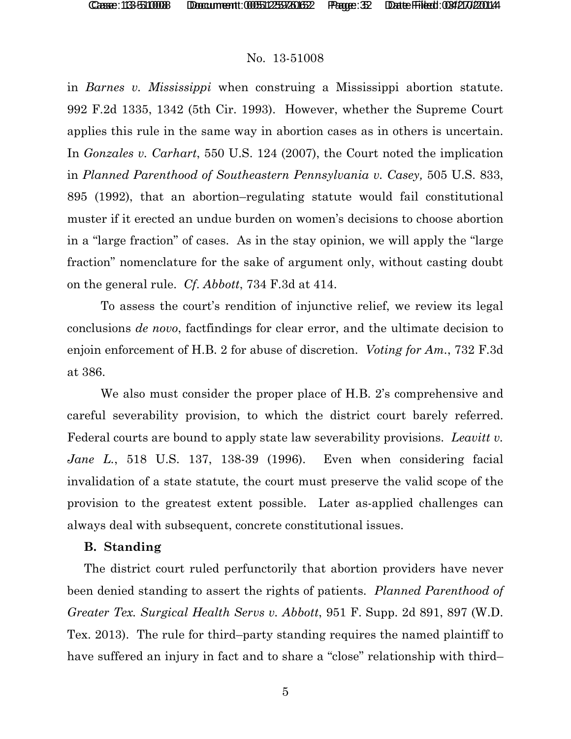in *Barnes v. Mississippi* when construing a Mississippi abortion statute. 992 F.2d 1335, 1342 (5th Cir. 1993). However, whether the Supreme Court applies this rule in the same way in abortion cases as in others is uncertain. In *Gonzales v. Carhart*, 550 U.S. 124 (2007), the Court noted the implication in *Planned Parenthood of Southeastern Pennsylvania v. Casey,* 505 U.S. 833, 895 (1992), that an abortion–regulating statute would fail constitutional muster if it erected an undue burden on women's decisions to choose abortion in a "large fraction" of cases. As in the stay opinion, we will apply the "large fraction" nomenclature for the sake of argument only, without casting doubt on the general rule. *Cf*. *Abbott*, 734 F.3d at 414.

To assess the court's rendition of injunctive relief, we review its legal conclusions *de novo*, factfindings for clear error, and the ultimate decision to enjoin enforcement of H.B. 2 for abuse of discretion. *Voting for Am.*, 732 F.3d at 386.

We also must consider the proper place of H.B. 2's comprehensive and careful severability provision, to which the district court barely referred. Federal courts are bound to apply state law severability provisions. *Leavitt v. Jane L.*, 518 U.S. 137, 138-39 (1996). Even when considering facial invalidation of a state statute, the court must preserve the valid scope of the provision to the greatest extent possible. Later as-applied challenges can always deal with subsequent, concrete constitutional issues.

#### **B. Standing**

The district court ruled perfunctorily that abortion providers have never been denied standing to assert the rights of patients. *Planned Parenthood of Greater Tex. Surgical Health Servs v. Abbott*, 951 F. Supp. 2d 891, 897 (W.D. Tex. 2013). The rule for third–party standing requires the named plaintiff to have suffered an injury in fact and to share a "close" relationship with third-

5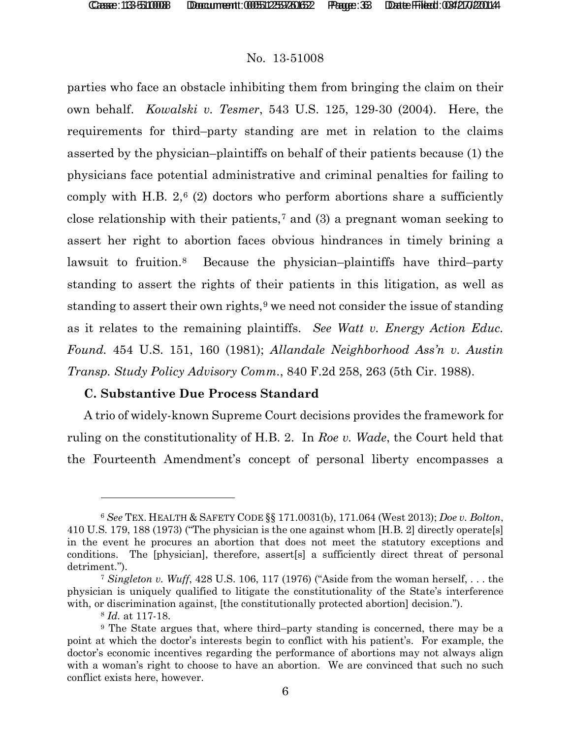parties who face an obstacle inhibiting them from bringing the claim on their own behalf. *Kowalski v. Tesmer*, 543 U.S. 125, 129-30 (2004). Here, the requirements for third–party standing are met in relation to the claims asserted by the physician–plaintiffs on behalf of their patients because (1) the physicians face potential administrative and criminal penalties for failing to comply with H.B.  $2,6$  $2,6$  (2) doctors who perform abortions share a sufficiently close relationship with their patients,<sup>[7](#page-32-1)</sup> and (3) a pregnant woman seeking to assert her right to abortion faces obvious hindrances in timely brining a lawsuit to fruition[.8](#page-32-2) Because the physician–plaintiffs have third–party standing to assert the rights of their patients in this litigation, as well as standing to assert their own rights,  $9$  we need not consider the issue of standing as it relates to the remaining plaintiffs. *See Watt v. Energy Action Educ. Found.* 454 U.S. 151, 160 (1981); *Allandale Neighborhood Ass'n v. Austin Transp. Study Policy Advisory Comm.*, 840 F.2d 258, 263 (5th Cir. 1988).

# **C. Substantive Due Process Standard**

A trio of widely-known Supreme Court decisions provides the framework for ruling on the constitutionality of H.B. 2. In *Roe v. Wade*, the Court held that the Fourteenth Amendment's concept of personal liberty encompasses a

 $\overline{a}$ 

<span id="page-32-0"></span><sup>6</sup> *See* TEX. HEALTH & SAFETY CODE §§ 171.0031(b), 171.064 (West 2013); *Doe v. Bolton*, 410 U.S. 179, 188 (1973) ("The physician is the one against whom [H.B. 2] directly operate[s] in the event he procures an abortion that does not meet the statutory exceptions and conditions. The [physician], therefore, assert[s] a sufficiently direct threat of personal detriment.").

<span id="page-32-1"></span><sup>7</sup> *Singleton v. Wuff*, 428 U.S. 106, 117 (1976) ("Aside from the woman herself, . . . the physician is uniquely qualified to litigate the constitutionality of the State's interference with, or discrimination against, [the constitutionally protected abortion] decision.").

<sup>8</sup> *Id.* at 117-18.

<span id="page-32-3"></span><span id="page-32-2"></span><sup>9</sup> The State argues that, where third–party standing is concerned, there may be a point at which the doctor's interests begin to conflict with his patient's. For example, the doctor's economic incentives regarding the performance of abortions may not always align with a woman's right to choose to have an abortion. We are convinced that such no such conflict exists here, however.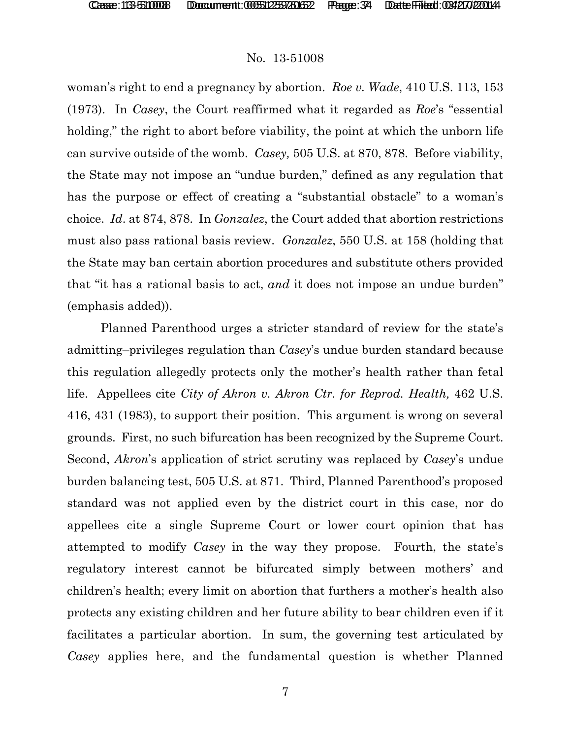woman's right to end a pregnancy by abortion. *Roe v. Wade*, 410 U.S. 113, 153 (1973). In *Casey*, the Court reaffirmed what it regarded as *Roe*'s "essential holding," the right to abort before viability, the point at which the unborn life can survive outside of the womb. *Casey,* 505 U.S. at 870, 878. Before viability, the State may not impose an "undue burden," defined as any regulation that has the purpose or effect of creating a "substantial obstacle" to a woman's choice. *Id*. at 874, 878. In *Gonzalez*, the Court added that abortion restrictions must also pass rational basis review. *Gonzalez*, 550 U.S. at 158 (holding that the State may ban certain abortion procedures and substitute others provided that "it has a rational basis to act, *and* it does not impose an undue burden" (emphasis added)).

Planned Parenthood urges a stricter standard of review for the state's admitting–privileges regulation than *Casey*'s undue burden standard because this regulation allegedly protects only the mother's health rather than fetal life. Appellees cite *City of Akron v. Akron Ctr. for Reprod. Health,* 462 U.S. 416, 431 (1983), to support their position. This argument is wrong on several grounds. First, no such bifurcation has been recognized by the Supreme Court. Second, *Akron*'s application of strict scrutiny was replaced by *Casey*'s undue burden balancing test, 505 U.S. at 871. Third, Planned Parenthood's proposed standard was not applied even by the district court in this case, nor do appellees cite a single Supreme Court or lower court opinion that has attempted to modify *Casey* in the way they propose. Fourth, the state's regulatory interest cannot be bifurcated simply between mothers' and children's health; every limit on abortion that furthers a mother's health also protects any existing children and her future ability to bear children even if it facilitates a particular abortion. In sum, the governing test articulated by *Casey* applies here, and the fundamental question is whether Planned

7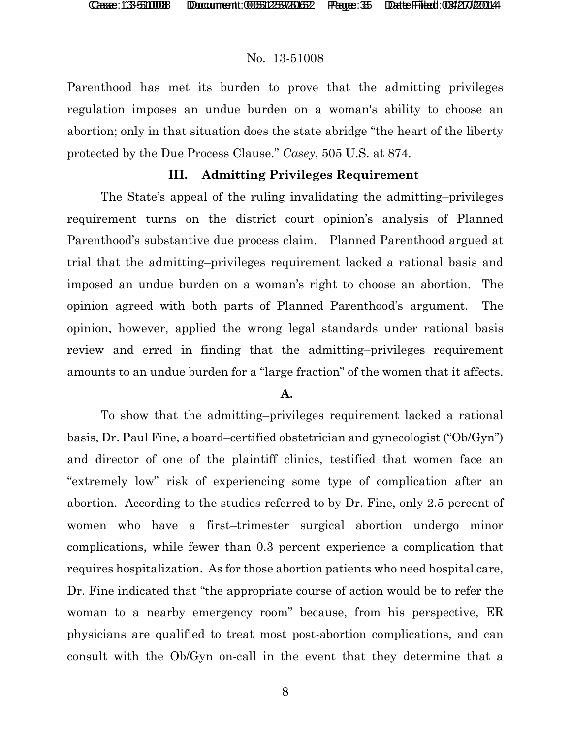Parenthood has met its burden to prove that the admitting privileges regulation imposes an undue burden on a woman's ability to choose an abortion; only in that situation does the state abridge "the heart of the liberty protected by the Due Process Clause." *Casey*, 505 U.S. at 874.

# **III. Admitting Privileges Requirement**

The State's appeal of the ruling invalidating the admitting–privileges requirement turns on the district court opinion's analysis of Planned Parenthood's substantive due process claim. Planned Parenthood argued at trial that the admitting–privileges requirement lacked a rational basis and imposed an undue burden on a woman's right to choose an abortion. The opinion agreed with both parts of Planned Parenthood's argument. The opinion, however, applied the wrong legal standards under rational basis review and erred in finding that the admitting–privileges requirement amounts to an undue burden for a "large fraction" of the women that it affects.

## **A.**

To show that the admitting–privileges requirement lacked a rational basis, Dr. Paul Fine, a board–certified obstetrician and gynecologist ("Ob/Gyn") and director of one of the plaintiff clinics, testified that women face an "extremely low" risk of experiencing some type of complication after an abortion. According to the studies referred to by Dr. Fine, only 2.5 percent of women who have a first–trimester surgical abortion undergo minor complications, while fewer than 0.3 percent experience a complication that requires hospitalization. As for those abortion patients who need hospital care, Dr. Fine indicated that "the appropriate course of action would be to refer the woman to a nearby emergency room" because, from his perspective, ER physicians are qualified to treat most post-abortion complications, and can consult with the Ob/Gyn on-call in the event that they determine that a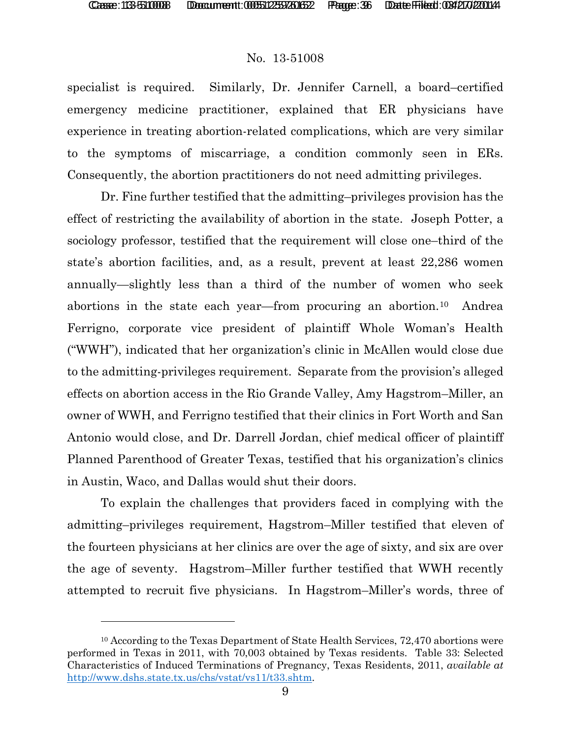$\overline{a}$ 

## No. 13-51008

specialist is required. Similarly, Dr. Jennifer Carnell, a board–certified emergency medicine practitioner, explained that ER physicians have experience in treating abortion-related complications, which are very similar to the symptoms of miscarriage, a condition commonly seen in ERs. Consequently, the abortion practitioners do not need admitting privileges.

Dr. Fine further testified that the admitting–privileges provision has the effect of restricting the availability of abortion in the state. Joseph Potter, a sociology professor, testified that the requirement will close one–third of the state's abortion facilities, and, as a result, prevent at least 22,286 women annually—slightly less than a third of the number of women who seek abortions in the state each year—from procuring an abortion.[10](#page-35-0) Andrea Ferrigno, corporate vice president of plaintiff Whole Woman's Health ("WWH"), indicated that her organization's clinic in McAllen would close due to the admitting-privileges requirement. Separate from the provision's alleged effects on abortion access in the Rio Grande Valley, Amy Hagstrom–Miller, an owner of WWH, and Ferrigno testified that their clinics in Fort Worth and San Antonio would close, and Dr. Darrell Jordan, chief medical officer of plaintiff Planned Parenthood of Greater Texas, testified that his organization's clinics in Austin, Waco, and Dallas would shut their doors.

To explain the challenges that providers faced in complying with the admitting–privileges requirement, Hagstrom–Miller testified that eleven of the fourteen physicians at her clinics are over the age of sixty, and six are over the age of seventy. Hagstrom–Miller further testified that WWH recently attempted to recruit five physicians. In Hagstrom–Miller's words, three of

<span id="page-35-0"></span><sup>10</sup> According to the Texas Department of State Health Services, 72,470 abortions were performed in Texas in 2011, with 70,003 obtained by Texas residents. Table 33: Selected Characteristics of Induced Terminations of Pregnancy, Texas Residents, 2011, *available at* [http://www.dshs.state.tx.us/chs/vstat/vs11/t33.shtm.](http://www.dshs.state.tx.us/chs/vstat/vs11/t33.shtm)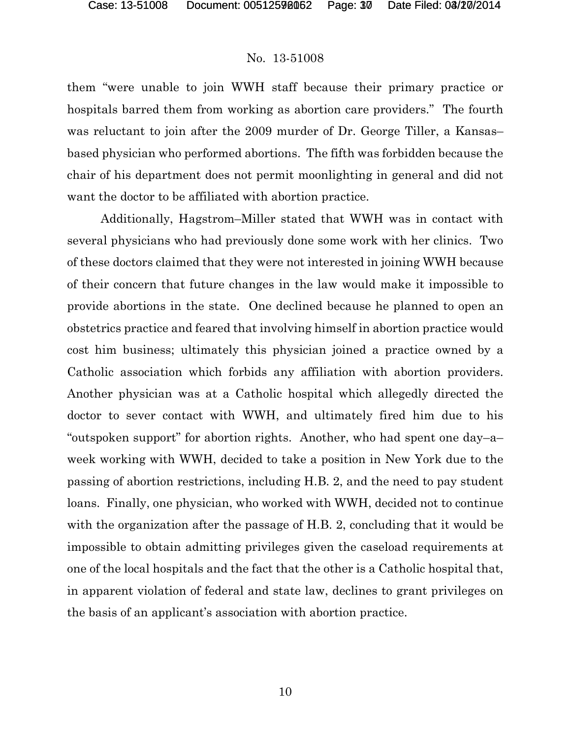them "were unable to join WWH staff because their primary practice or hospitals barred them from working as abortion care providers." The fourth was reluctant to join after the 2009 murder of Dr. George Tiller, a Kansas– based physician who performed abortions. The fifth was forbidden because the chair of his department does not permit moonlighting in general and did not want the doctor to be affiliated with abortion practice.

Additionally, Hagstrom–Miller stated that WWH was in contact with several physicians who had previously done some work with her clinics. Two of these doctors claimed that they were not interested in joining WWH because of their concern that future changes in the law would make it impossible to provide abortions in the state. One declined because he planned to open an obstetrics practice and feared that involving himself in abortion practice would cost him business; ultimately this physician joined a practice owned by a Catholic association which forbids any affiliation with abortion providers. Another physician was at a Catholic hospital which allegedly directed the doctor to sever contact with WWH, and ultimately fired him due to his "outspoken support" for abortion rights. Another, who had spent one day–a– week working with WWH, decided to take a position in New York due to the passing of abortion restrictions, including H.B. 2, and the need to pay student loans. Finally, one physician, who worked with WWH, decided not to continue with the organization after the passage of H.B. 2, concluding that it would be impossible to obtain admitting privileges given the caseload requirements at one of the local hospitals and the fact that the other is a Catholic hospital that, in apparent violation of federal and state law, declines to grant privileges on the basis of an applicant's association with abortion practice.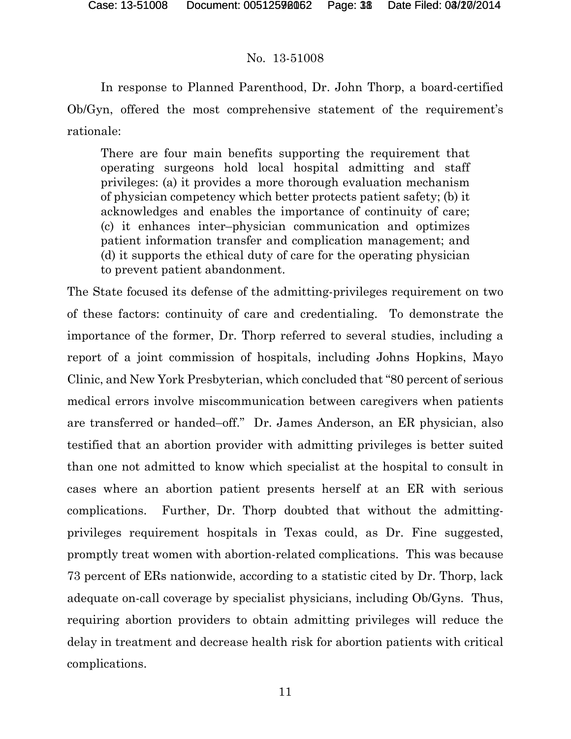In response to Planned Parenthood, Dr. John Thorp, a board-certified Ob/Gyn, offered the most comprehensive statement of the requirement's rationale:

There are four main benefits supporting the requirement that operating surgeons hold local hospital admitting and staff privileges: (a) it provides a more thorough evaluation mechanism of physician competency which better protects patient safety; (b) it acknowledges and enables the importance of continuity of care; (c) it enhances inter–physician communication and optimizes patient information transfer and complication management; and (d) it supports the ethical duty of care for the operating physician to prevent patient abandonment.

The State focused its defense of the admitting-privileges requirement on two of these factors: continuity of care and credentialing. To demonstrate the importance of the former, Dr. Thorp referred to several studies, including a report of a joint commission of hospitals, including Johns Hopkins, Mayo Clinic, and New York Presbyterian, which concluded that "80 percent of serious medical errors involve miscommunication between caregivers when patients are transferred or handed–off." Dr. James Anderson, an ER physician, also testified that an abortion provider with admitting privileges is better suited than one not admitted to know which specialist at the hospital to consult in cases where an abortion patient presents herself at an ER with serious complications. Further, Dr. Thorp doubted that without the admittingprivileges requirement hospitals in Texas could, as Dr. Fine suggested, promptly treat women with abortion-related complications. This was because 73 percent of ERs nationwide, according to a statistic cited by Dr. Thorp, lack adequate on-call coverage by specialist physicians, including Ob/Gyns. Thus, requiring abortion providers to obtain admitting privileges will reduce the delay in treatment and decrease health risk for abortion patients with critical complications.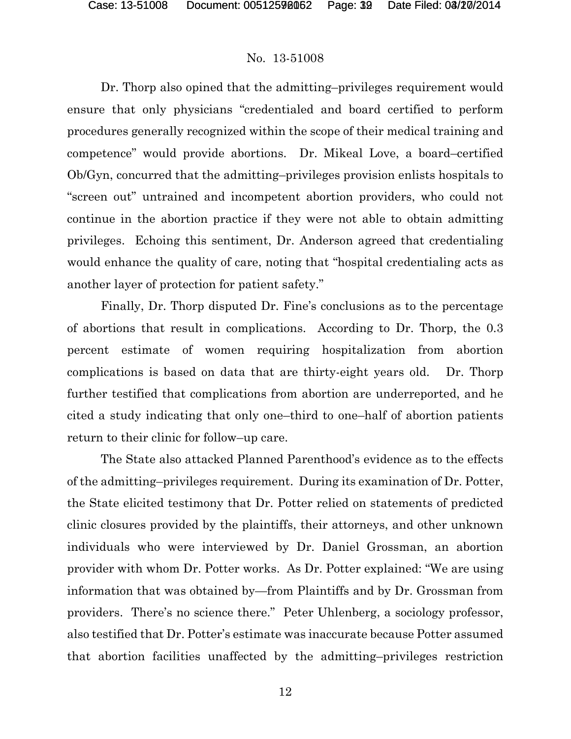Dr. Thorp also opined that the admitting–privileges requirement would ensure that only physicians "credentialed and board certified to perform procedures generally recognized within the scope of their medical training and competence" would provide abortions. Dr. Mikeal Love, a board–certified Ob/Gyn, concurred that the admitting–privileges provision enlists hospitals to "screen out" untrained and incompetent abortion providers, who could not continue in the abortion practice if they were not able to obtain admitting privileges. Echoing this sentiment, Dr. Anderson agreed that credentialing would enhance the quality of care, noting that "hospital credentialing acts as another layer of protection for patient safety."

Finally, Dr. Thorp disputed Dr. Fine's conclusions as to the percentage of abortions that result in complications. According to Dr. Thorp, the 0.3 percent estimate of women requiring hospitalization from abortion complications is based on data that are thirty-eight years old. Dr. Thorp further testified that complications from abortion are underreported, and he cited a study indicating that only one–third to one–half of abortion patients return to their clinic for follow–up care.

The State also attacked Planned Parenthood's evidence as to the effects of the admitting–privileges requirement. During its examination of Dr. Potter, the State elicited testimony that Dr. Potter relied on statements of predicted clinic closures provided by the plaintiffs, their attorneys, and other unknown individuals who were interviewed by Dr. Daniel Grossman, an abortion provider with whom Dr. Potter works. As Dr. Potter explained: "We are using information that was obtained by—from Plaintiffs and by Dr. Grossman from providers. There's no science there." Peter Uhlenberg, a sociology professor, also testified that Dr. Potter's estimate was inaccurate because Potter assumed that abortion facilities unaffected by the admitting–privileges restriction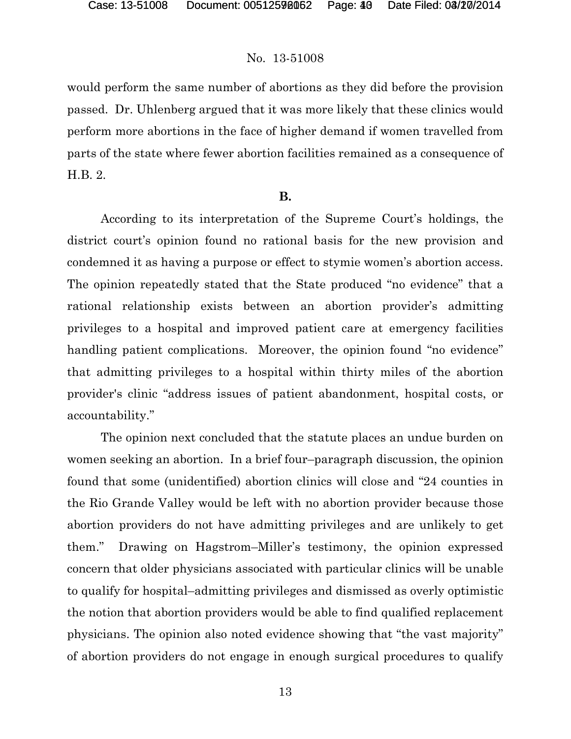would perform the same number of abortions as they did before the provision passed. Dr. Uhlenberg argued that it was more likely that these clinics would perform more abortions in the face of higher demand if women travelled from parts of the state where fewer abortion facilities remained as a consequence of H.B. 2.

#### **B.**

According to its interpretation of the Supreme Court's holdings, the district court's opinion found no rational basis for the new provision and condemned it as having a purpose or effect to stymie women's abortion access. The opinion repeatedly stated that the State produced "no evidence" that a rational relationship exists between an abortion provider's admitting privileges to a hospital and improved patient care at emergency facilities handling patient complications. Moreover, the opinion found "no evidence" that admitting privileges to a hospital within thirty miles of the abortion provider's clinic "address issues of patient abandonment, hospital costs, or accountability."

The opinion next concluded that the statute places an undue burden on women seeking an abortion. In a brief four–paragraph discussion, the opinion found that some (unidentified) abortion clinics will close and "24 counties in the Rio Grande Valley would be left with no abortion provider because those abortion providers do not have admitting privileges and are unlikely to get them." Drawing on Hagstrom–Miller's testimony, the opinion expressed concern that older physicians associated with particular clinics will be unable to qualify for hospital–admitting privileges and dismissed as overly optimistic the notion that abortion providers would be able to find qualified replacement physicians. The opinion also noted evidence showing that "the vast majority" of abortion providers do not engage in enough surgical procedures to qualify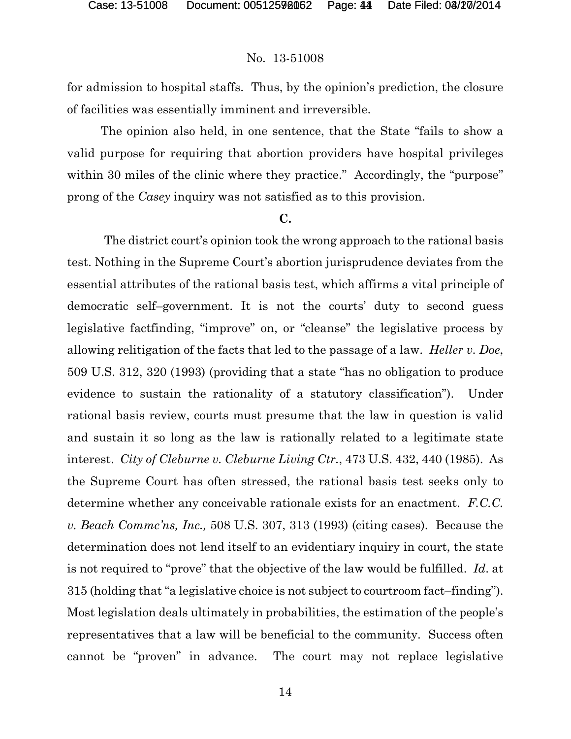for admission to hospital staffs. Thus, by the opinion's prediction, the closure of facilities was essentially imminent and irreversible.

The opinion also held, in one sentence, that the State "fails to show a valid purpose for requiring that abortion providers have hospital privileges within 30 miles of the clinic where they practice." Accordingly, the "purpose" prong of the *Casey* inquiry was not satisfied as to this provision.

#### **C.**

The district court's opinion took the wrong approach to the rational basis test. Nothing in the Supreme Court's abortion jurisprudence deviates from the essential attributes of the rational basis test, which affirms a vital principle of democratic self–government. It is not the courts' duty to second guess legislative factfinding, "improve" on, or "cleanse" the legislative process by allowing relitigation of the facts that led to the passage of a law. *Heller v. Doe*, 509 U.S. 312, 320 (1993) (providing that a state "has no obligation to produce evidence to sustain the rationality of a statutory classification"). Under rational basis review, courts must presume that the law in question is valid and sustain it so long as the law is rationally related to a legitimate state interest. *City of Cleburne v. Cleburne Living Ctr.*, 473 U.S. 432, 440 (1985). As the Supreme Court has often stressed, the rational basis test seeks only to determine whether any conceivable rationale exists for an enactment. *F.C.C. v. Beach Commc'ns, Inc.,* 508 U.S. 307, 313 (1993) (citing cases). Because the determination does not lend itself to an evidentiary inquiry in court, the state is not required to "prove" that the objective of the law would be fulfilled. *Id*. at 315 (holding that "a legislative choice is not subject to courtroom fact–finding"). Most legislation deals ultimately in probabilities, the estimation of the people's representatives that a law will be beneficial to the community. Success often cannot be "proven" in advance. The court may not replace legislative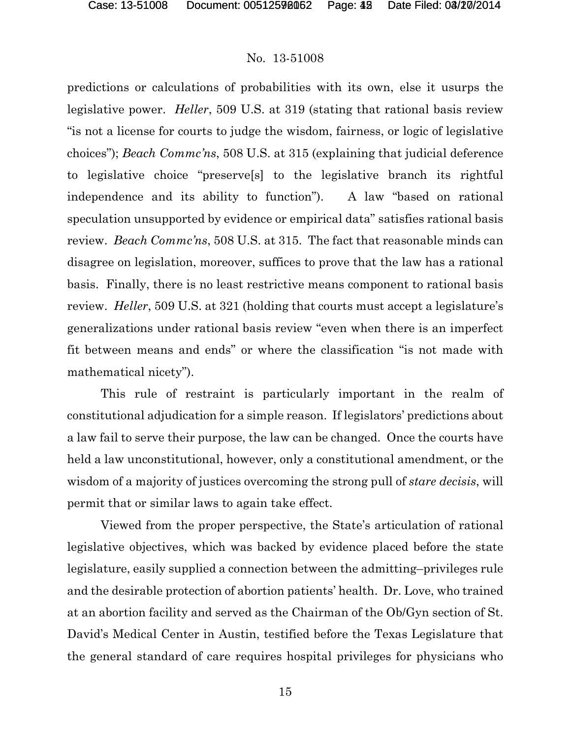predictions or calculations of probabilities with its own, else it usurps the legislative power. *Heller*, 509 U.S. at 319 (stating that rational basis review "is not a license for courts to judge the wisdom, fairness, or logic of legislative choices"); *Beach Commc'ns*, 508 U.S. at 315 (explaining that judicial deference to legislative choice "preserve[s] to the legislative branch its rightful independence and its ability to function"). A law "based on rational speculation unsupported by evidence or empirical data" satisfies rational basis review. *Beach Commc'ns*, 508 U.S. at 315. The fact that reasonable minds can disagree on legislation, moreover, suffices to prove that the law has a rational basis. Finally, there is no least restrictive means component to rational basis review. *Heller*, 509 U.S. at 321 (holding that courts must accept a legislature's generalizations under rational basis review "even when there is an imperfect fit between means and ends" or where the classification "is not made with mathematical nicety").

This rule of restraint is particularly important in the realm of constitutional adjudication for a simple reason. If legislators' predictions about a law fail to serve their purpose, the law can be changed. Once the courts have held a law unconstitutional, however, only a constitutional amendment, or the wisdom of a majority of justices overcoming the strong pull of *stare decisis*, will permit that or similar laws to again take effect.

Viewed from the proper perspective, the State's articulation of rational legislative objectives, which was backed by evidence placed before the state legislature, easily supplied a connection between the admitting–privileges rule and the desirable protection of abortion patients' health. Dr. Love, who trained at an abortion facility and served as the Chairman of the Ob/Gyn section of St. David's Medical Center in Austin, testified before the Texas Legislature that the general standard of care requires hospital privileges for physicians who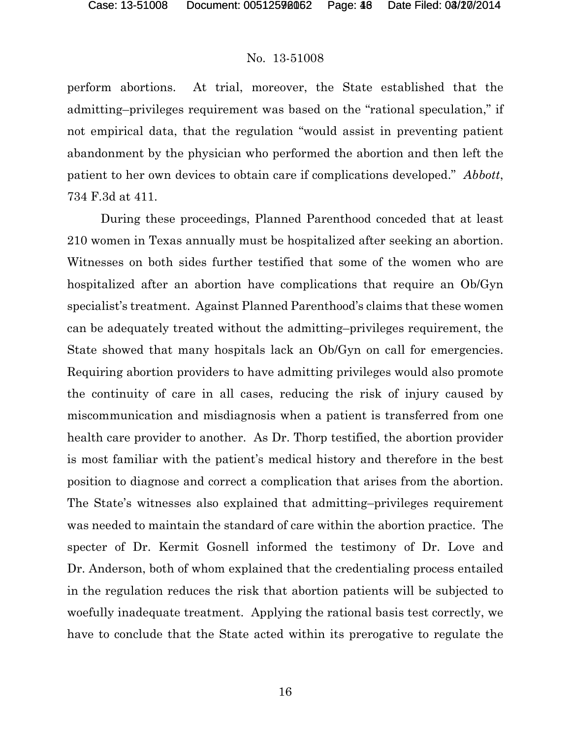perform abortions. At trial, moreover, the State established that the admitting–privileges requirement was based on the "rational speculation," if not empirical data, that the regulation "would assist in preventing patient abandonment by the physician who performed the abortion and then left the patient to her own devices to obtain care if complications developed." *Abbott*, 734 F.3d at 411.

During these proceedings, Planned Parenthood conceded that at least 210 women in Texas annually must be hospitalized after seeking an abortion. Witnesses on both sides further testified that some of the women who are hospitalized after an abortion have complications that require an Ob/Gyn specialist's treatment. Against Planned Parenthood's claims that these women can be adequately treated without the admitting–privileges requirement, the State showed that many hospitals lack an Ob/Gyn on call for emergencies. Requiring abortion providers to have admitting privileges would also promote the continuity of care in all cases, reducing the risk of injury caused by miscommunication and misdiagnosis when a patient is transferred from one health care provider to another. As Dr. Thorp testified, the abortion provider is most familiar with the patient's medical history and therefore in the best position to diagnose and correct a complication that arises from the abortion. The State's witnesses also explained that admitting–privileges requirement was needed to maintain the standard of care within the abortion practice. The specter of Dr. Kermit Gosnell informed the testimony of Dr. Love and Dr. Anderson, both of whom explained that the credentialing process entailed in the regulation reduces the risk that abortion patients will be subjected to woefully inadequate treatment. Applying the rational basis test correctly, we have to conclude that the State acted within its prerogative to regulate the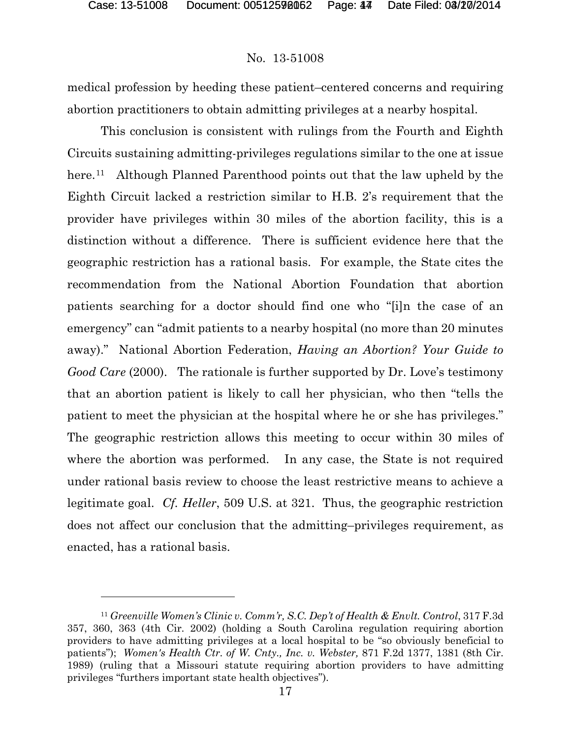$\overline{a}$ 

#### No. 13-51008

medical profession by heeding these patient–centered concerns and requiring abortion practitioners to obtain admitting privileges at a nearby hospital.

This conclusion is consistent with rulings from the Fourth and Eighth Circuits sustaining admitting-privileges regulations similar to the one at issue here.<sup>[11](#page-43-0)</sup> Although Planned Parenthood points out that the law upheld by the Eighth Circuit lacked a restriction similar to H.B. 2's requirement that the provider have privileges within 30 miles of the abortion facility, this is a distinction without a difference. There is sufficient evidence here that the geographic restriction has a rational basis. For example, the State cites the recommendation from the National Abortion Foundation that abortion patients searching for a doctor should find one who "[i]n the case of an emergency" can "admit patients to a nearby hospital (no more than 20 minutes away)." National Abortion Federation, *Having an Abortion? Your Guide to Good Care* (2000). The rationale is further supported by Dr. Love's testimony that an abortion patient is likely to call her physician, who then "tells the patient to meet the physician at the hospital where he or she has privileges." The geographic restriction allows this meeting to occur within 30 miles of where the abortion was performed. In any case, the State is not required under rational basis review to choose the least restrictive means to achieve a legitimate goal. *Cf. Heller*, 509 U.S. at 321. Thus, the geographic restriction does not affect our conclusion that the admitting–privileges requirement, as enacted, has a rational basis.

<span id="page-43-0"></span><sup>11</sup> *Greenville Women's Clinic v. Comm'r, S.C. Dep't of Health & Envlt. Control*, 317 F.3d 357, 360, 363 (4th Cir. 2002) (holding a South Carolina regulation requiring abortion providers to have admitting privileges at a local hospital to be "so obviously beneficial to patients"); *Women's Health Ctr. of W. Cnty., Inc. v. Webster,* 871 F.2d 1377, 1381 (8th Cir. 1989) (ruling that a Missouri statute requiring abortion providers to have admitting privileges "furthers important state health objectives").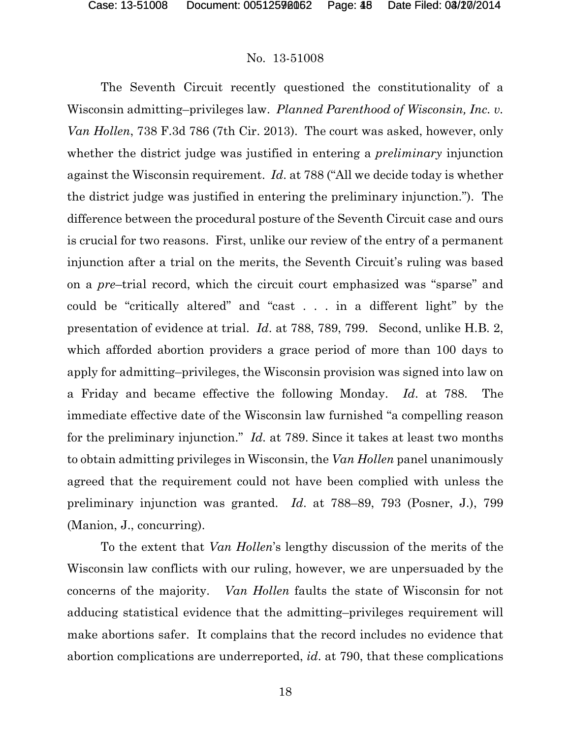The Seventh Circuit recently questioned the constitutionality of a Wisconsin admitting–privileges law. *Planned Parenthood of Wisconsin, Inc. v. Van Hollen*, 738 F.3d 786 (7th Cir. 2013). The court was asked, however, only whether the district judge was justified in entering a *preliminary* injunction against the Wisconsin requirement. *Id*. at 788 ("All we decide today is whether the district judge was justified in entering the preliminary injunction."). The difference between the procedural posture of the Seventh Circuit case and ours is crucial for two reasons. First, unlike our review of the entry of a permanent injunction after a trial on the merits, the Seventh Circuit's ruling was based on a *pre*–trial record, which the circuit court emphasized was "sparse" and could be "critically altered" and "cast . . . in a different light" by the presentation of evidence at trial. *Id*. at 788, 789, 799. Second, unlike H.B. 2, which afforded abortion providers a grace period of more than 100 days to apply for admitting–privileges, the Wisconsin provision was signed into law on a Friday and became effective the following Monday. *Id*. at 788. The immediate effective date of the Wisconsin law furnished "a compelling reason for the preliminary injunction." *Id.* at 789. Since it takes at least two months to obtain admitting privileges in Wisconsin, the *Van Hollen* panel unanimously agreed that the requirement could not have been complied with unless the preliminary injunction was granted. *Id*. at 788–89, 793 (Posner, J.), 799 (Manion, J., concurring).

To the extent that *Van Hollen*'s lengthy discussion of the merits of the Wisconsin law conflicts with our ruling, however, we are unpersuaded by the concerns of the majority. *Van Hollen* faults the state of Wisconsin for not adducing statistical evidence that the admitting–privileges requirement will make abortions safer. It complains that the record includes no evidence that abortion complications are underreported, *id*. at 790, that these complications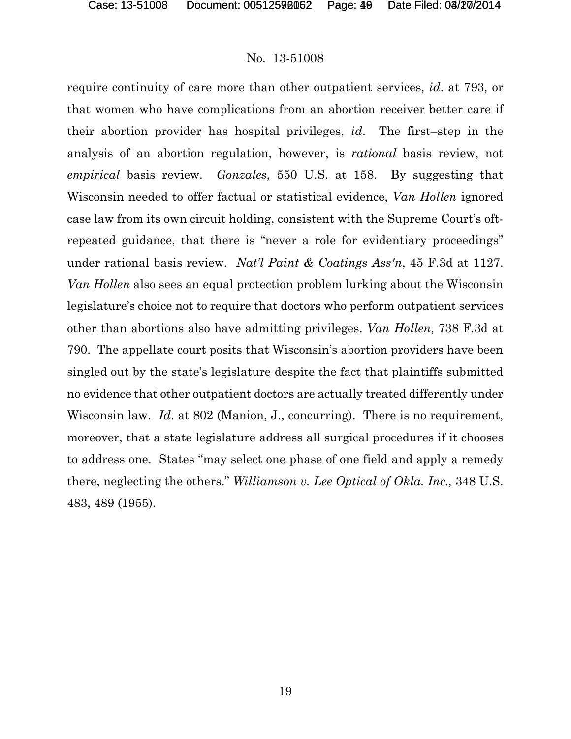require continuity of care more than other outpatient services, *id*. at 793, or that women who have complications from an abortion receiver better care if their abortion provider has hospital privileges, *id*. The first–step in the analysis of an abortion regulation, however, is *rational* basis review, not *empirical* basis review. *Gonzales*, 550 U.S. at 158. By suggesting that Wisconsin needed to offer factual or statistical evidence, *Van Hollen* ignored case law from its own circuit holding, consistent with the Supreme Court's oftrepeated guidance, that there is "never a role for evidentiary proceedings" under rational basis review. *Nat'l Paint & Coatings Ass'n*, 45 F.3d at 1127. *Van Hollen* also sees an equal protection problem lurking about the Wisconsin legislature's choice not to require that doctors who perform outpatient services other than abortions also have admitting privileges. *Van Hollen*, 738 F.3d at 790. The appellate court posits that Wisconsin's abortion providers have been singled out by the state's legislature despite the fact that plaintiffs submitted no evidence that other outpatient doctors are actually treated differently under Wisconsin law. *Id.* at 802 (Manion, J., concurring). There is no requirement, moreover, that a state legislature address all surgical procedures if it chooses to address one. States "may select one phase of one field and apply a remedy there, neglecting the others." *Williamson v. Lee Optical of Okla. Inc.,* 348 U.S. 483, 489 (1955).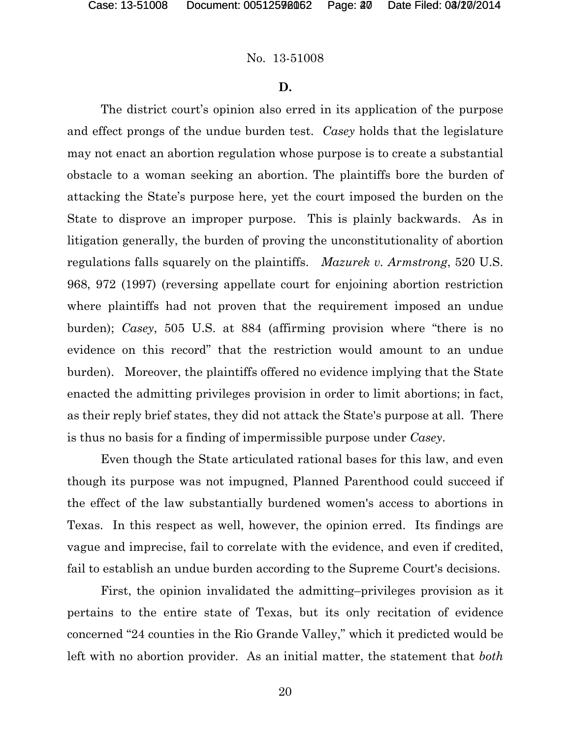#### **D.**

The district court's opinion also erred in its application of the purpose and effect prongs of the undue burden test. *Casey* holds that the legislature may not enact an abortion regulation whose purpose is to create a substantial obstacle to a woman seeking an abortion. The plaintiffs bore the burden of attacking the State's purpose here, yet the court imposed the burden on the State to disprove an improper purpose. This is plainly backwards. As in litigation generally, the burden of proving the unconstitutionality of abortion regulations falls squarely on the plaintiffs. *Mazurek v. Armstrong*, 520 U.S. 968, 972 (1997) (reversing appellate court for enjoining abortion restriction where plaintiffs had not proven that the requirement imposed an undue burden); *Casey*, 505 U.S. at 884 (affirming provision where "there is no evidence on this record" that the restriction would amount to an undue burden). Moreover, the plaintiffs offered no evidence implying that the State enacted the admitting privileges provision in order to limit abortions; in fact, as their reply brief states, they did not attack the State's purpose at all. There is thus no basis for a finding of impermissible purpose under *Casey*.

Even though the State articulated rational bases for this law, and even though its purpose was not impugned, Planned Parenthood could succeed if the effect of the law substantially burdened women's access to abortions in Texas. In this respect as well, however, the opinion erred. Its findings are vague and imprecise, fail to correlate with the evidence, and even if credited, fail to establish an undue burden according to the Supreme Court's decisions.

First, the opinion invalidated the admitting–privileges provision as it pertains to the entire state of Texas, but its only recitation of evidence concerned "24 counties in the Rio Grande Valley," which it predicted would be left with no abortion provider. As an initial matter, the statement that *both*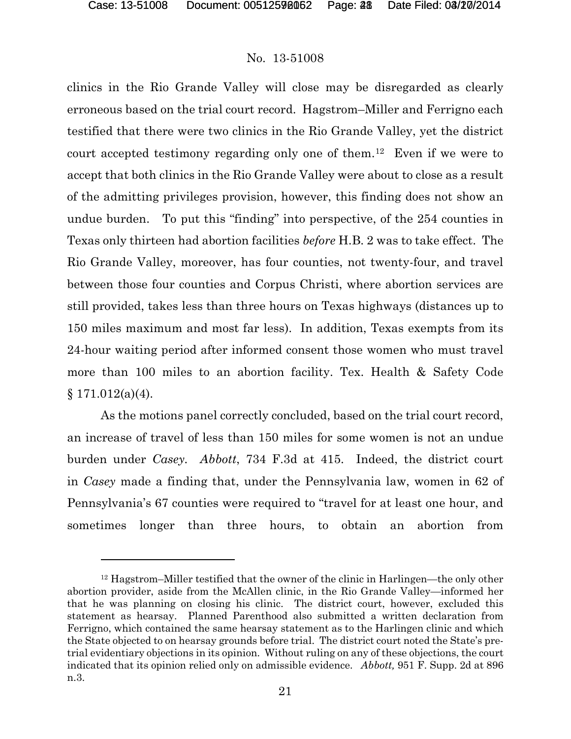l

#### No. 13-51008

clinics in the Rio Grande Valley will close may be disregarded as clearly erroneous based on the trial court record. Hagstrom–Miller and Ferrigno each testified that there were two clinics in the Rio Grande Valley, yet the district court accepted testimony regarding only one of them.[12](#page-47-0) Even if we were to accept that both clinics in the Rio Grande Valley were about to close as a result of the admitting privileges provision, however, this finding does not show an undue burden. To put this "finding" into perspective, of the 254 counties in Texas only thirteen had abortion facilities *before* H.B. 2 was to take effect. The Rio Grande Valley, moreover, has four counties, not twenty-four, and travel between those four counties and Corpus Christi, where abortion services are still provided, takes less than three hours on Texas highways (distances up to 150 miles maximum and most far less). In addition, Texas exempts from its 24-hour waiting period after informed consent those women who must travel more than 100 miles to an abortion facility. Tex. Health & Safety Code  $§ 171.012(a)(4).$ 

As the motions panel correctly concluded, based on the trial court record, an increase of travel of less than 150 miles for some women is not an undue burden under *Casey. Abbott*, 734 F.3d at 415. Indeed, the district court in *Casey* made a finding that, under the Pennsylvania law, women in 62 of Pennsylvania's 67 counties were required to "travel for at least one hour, and sometimes longer than three hours, to obtain an abortion from

<span id="page-47-0"></span><sup>12</sup> Hagstrom–Miller testified that the owner of the clinic in Harlingen—the only other abortion provider, aside from the McAllen clinic, in the Rio Grande Valley—informed her that he was planning on closing his clinic. The district court, however, excluded this statement as hearsay. Planned Parenthood also submitted a written declaration from Ferrigno, which contained the same hearsay statement as to the Harlingen clinic and which the State objected to on hearsay grounds before trial. The district court noted the State's pretrial evidentiary objections in its opinion. Without ruling on any of these objections, the court indicated that its opinion relied only on admissible evidence. *Abbott,* 951 F. Supp. 2d at 896 n.3.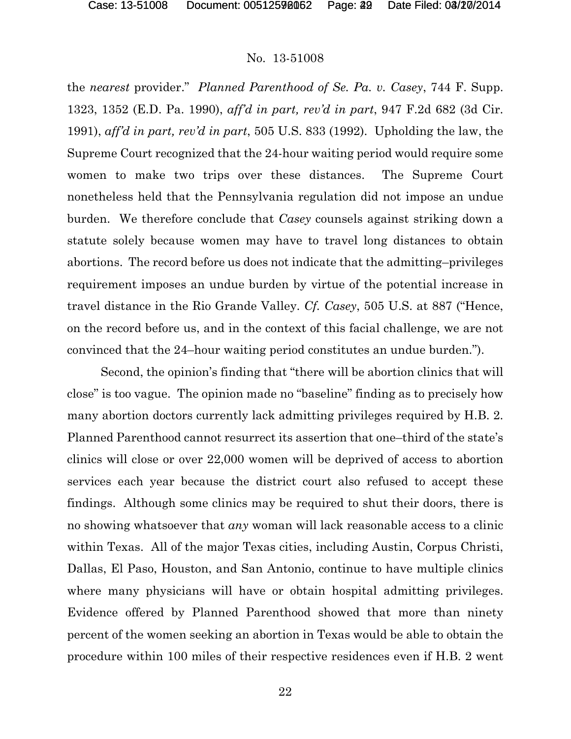the *nearest* provider." *Planned Parenthood of Se. Pa. v. Casey*, 744 F. Supp. 1323, 1352 (E.D. Pa. 1990), *aff'd in part, rev'd in part*, 947 F.2d 682 (3d Cir. 1991), *aff'd in part, rev'd in part*, 505 U.S. 833 (1992). Upholding the law, the Supreme Court recognized that the 24-hour waiting period would require some women to make two trips over these distances. The Supreme Court nonetheless held that the Pennsylvania regulation did not impose an undue burden. We therefore conclude that *Casey* counsels against striking down a statute solely because women may have to travel long distances to obtain abortions.The record before us does not indicate that the admitting–privileges requirement imposes an undue burden by virtue of the potential increase in travel distance in the Rio Grande Valley. *Cf. Casey*, 505 U.S. at 887 ("Hence, on the record before us, and in the context of this facial challenge, we are not convinced that the 24–hour waiting period constitutes an undue burden.").

Second, the opinion's finding that "there will be abortion clinics that will close" is too vague. The opinion made no "baseline" finding as to precisely how many abortion doctors currently lack admitting privileges required by H.B. 2. Planned Parenthood cannot resurrect its assertion that one–third of the state's clinics will close or over 22,000 women will be deprived of access to abortion services each year because the district court also refused to accept these findings. Although some clinics may be required to shut their doors, there is no showing whatsoever that *any* woman will lack reasonable access to a clinic within Texas. All of the major Texas cities, including Austin, Corpus Christi, Dallas, El Paso, Houston, and San Antonio, continue to have multiple clinics where many physicians will have or obtain hospital admitting privileges. Evidence offered by Planned Parenthood showed that more than ninety percent of the women seeking an abortion in Texas would be able to obtain the procedure within 100 miles of their respective residences even if H.B. 2 went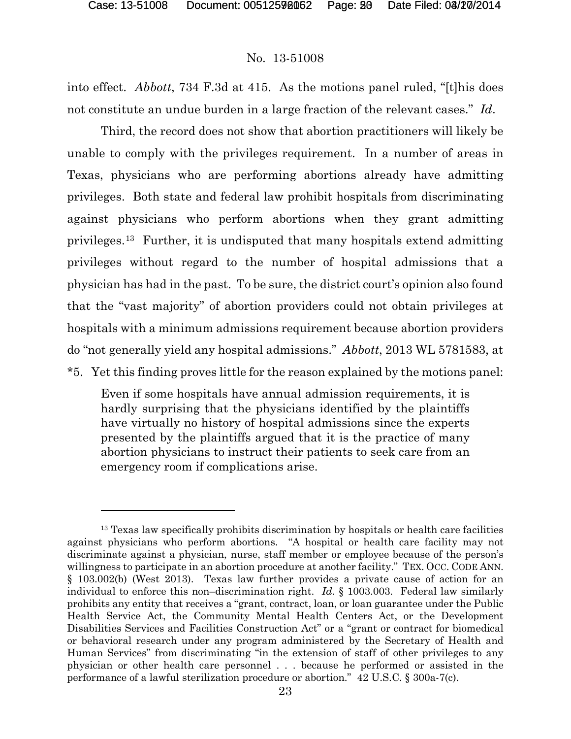l

# No. 13-51008

into effect. *Abbott*, 734 F.3d at 415. As the motions panel ruled, "[t]his does not constitute an undue burden in a large fraction of the relevant cases." *Id*.

Third, the record does not show that abortion practitioners will likely be unable to comply with the privileges requirement. In a number of areas in Texas, physicians who are performing abortions already have admitting privileges. Both state and federal law prohibit hospitals from discriminating against physicians who perform abortions when they grant admitting privileges.[13](#page-49-0) Further, it is undisputed that many hospitals extend admitting privileges without regard to the number of hospital admissions that a physician has had in the past. To be sure, the district court's opinion also found that the "vast majority" of abortion providers could not obtain privileges at hospitals with a minimum admissions requirement because abortion providers do "not generally yield any hospital admissions." *Abbott*, 2013 WL 5781583, at \*5. Yet this finding proves little for the reason explained by the motions panel:

Even if some hospitals have annual admission requirements, it is hardly surprising that the physicians identified by the plaintiffs have virtually no history of hospital admissions since the experts presented by the plaintiffs argued that it is the practice of many abortion physicians to instruct their patients to seek care from an emergency room if complications arise.

<span id="page-49-0"></span><sup>&</sup>lt;sup>13</sup> Texas law specifically prohibits discrimination by hospitals or health care facilities against physicians who perform abortions. "A hospital or health care facility may not discriminate against a physician, nurse, staff member or employee because of the person's willingness to participate in an abortion procedure at another facility." TEX. OCC. CODE ANN. § 103.002(b) (West 2013). Texas law further provides a private cause of action for an individual to enforce this non–discrimination right. *Id*. § 1003.003. Federal law similarly prohibits any entity that receives a "grant, contract, loan, or loan guarantee under the Public Health Service Act, the Community Mental Health Centers Act, or the Development Disabilities Services and Facilities Construction Act" or a "grant or contract for biomedical or behavioral research under any program administered by the Secretary of Health and Human Services" from discriminating "in the extension of staff of other privileges to any physician or other health care personnel . . . because he performed or assisted in the performance of a lawful sterilization procedure or abortion." 42 U.S.C. § 300a-7(c).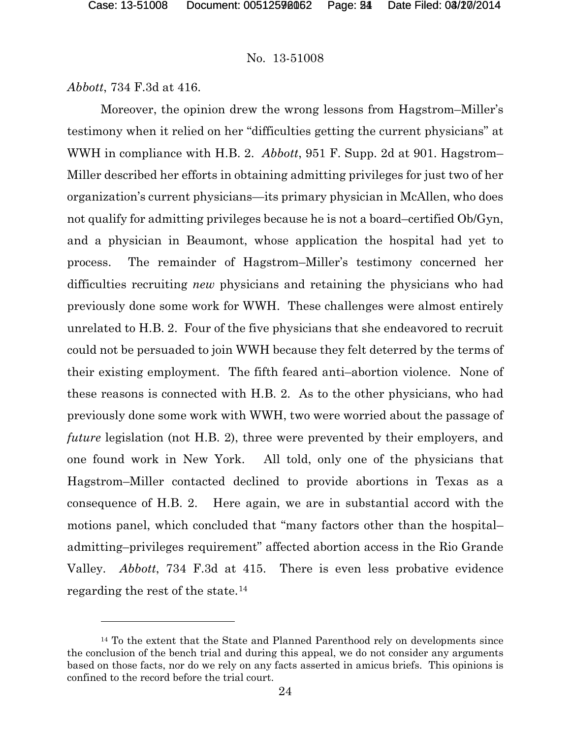*Abbott*, 734 F.3d at 416.

 $\overline{a}$ 

Moreover, the opinion drew the wrong lessons from Hagstrom–Miller's testimony when it relied on her "difficulties getting the current physicians" at WWH in compliance with H.B. 2. *Abbott*, 951 F. Supp. 2d at 901. Hagstrom– Miller described her efforts in obtaining admitting privileges for just two of her organization's current physicians—its primary physician in McAllen, who does not qualify for admitting privileges because he is not a board–certified Ob/Gyn, and a physician in Beaumont, whose application the hospital had yet to process. The remainder of Hagstrom–Miller's testimony concerned her difficulties recruiting *new* physicians and retaining the physicians who had previously done some work for WWH. These challenges were almost entirely unrelated to H.B. 2. Four of the five physicians that she endeavored to recruit could not be persuaded to join WWH because they felt deterred by the terms of their existing employment. The fifth feared anti–abortion violence. None of these reasons is connected with H.B. 2. As to the other physicians, who had previously done some work with WWH, two were worried about the passage of *future* legislation (not H.B. 2), three were prevented by their employers, and one found work in New York. All told, only one of the physicians that Hagstrom–Miller contacted declined to provide abortions in Texas as a consequence of H.B. 2. Here again, we are in substantial accord with the motions panel, which concluded that "many factors other than the hospital– admitting–privileges requirement" affected abortion access in the Rio Grande Valley. *Abbott*, 734 F.3d at 415. There is even less probative evidence regarding the rest of the state.[14](#page-50-0)

<span id="page-50-0"></span><sup>14</sup> To the extent that the State and Planned Parenthood rely on developments since the conclusion of the bench trial and during this appeal, we do not consider any arguments based on those facts, nor do we rely on any facts asserted in amicus briefs. This opinions is confined to the record before the trial court.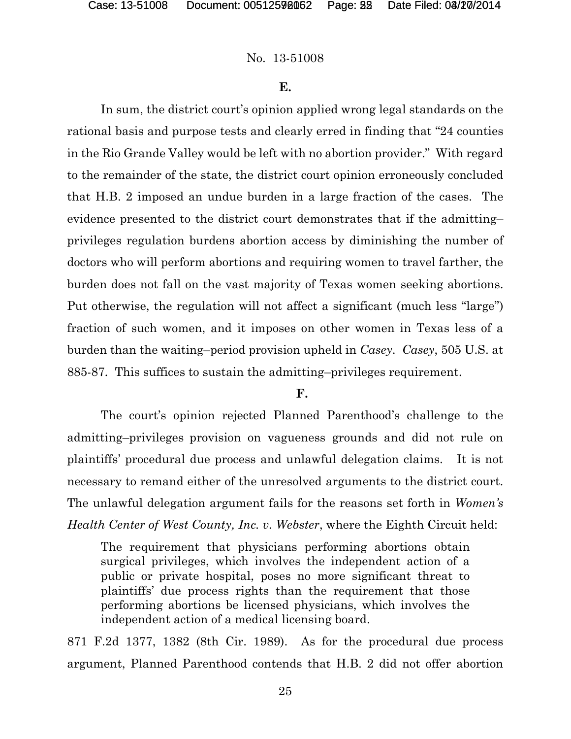# **E.**

In sum, the district court's opinion applied wrong legal standards on the rational basis and purpose tests and clearly erred in finding that "24 counties in the Rio Grande Valley would be left with no abortion provider." With regard to the remainder of the state, the district court opinion erroneously concluded that H.B. 2 imposed an undue burden in a large fraction of the cases. The evidence presented to the district court demonstrates that if the admitting– privileges regulation burdens abortion access by diminishing the number of doctors who will perform abortions and requiring women to travel farther, the burden does not fall on the vast majority of Texas women seeking abortions. Put otherwise, the regulation will not affect a significant (much less "large") fraction of such women, and it imposes on other women in Texas less of a burden than the waiting–period provision upheld in *Casey*. *Casey*, 505 U.S. at 885-87. This suffices to sustain the admitting–privileges requirement.

# **F.**

The court's opinion rejected Planned Parenthood's challenge to the admitting–privileges provision on vagueness grounds and did not rule on plaintiffs' procedural due process and unlawful delegation claims. It is not necessary to remand either of the unresolved arguments to the district court. The unlawful delegation argument fails for the reasons set forth in *Women's Health Center of West County, Inc. v. Webster*, where the Eighth Circuit held:

The requirement that physicians performing abortions obtain surgical privileges, which involves the independent action of a public or private hospital, poses no more significant threat to plaintiffs' due process rights than the requirement that those performing abortions be licensed physicians, which involves the independent action of a medical licensing board.

871 F.2d 1377, 1382 (8th Cir. 1989). As for the procedural due process argument, Planned Parenthood contends that H.B. 2 did not offer abortion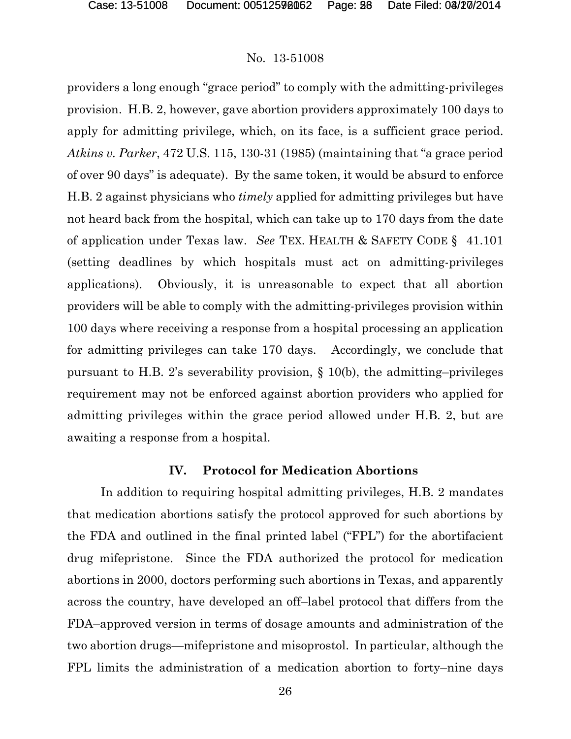providers a long enough "grace period" to comply with the admitting-privileges provision. H.B. 2, however, gave abortion providers approximately 100 days to apply for admitting privilege, which, on its face, is a sufficient grace period. *Atkins v. Parker*, 472 U.S. 115, 130-31 (1985) (maintaining that "a grace period of over 90 days" is adequate). By the same token, it would be absurd to enforce H.B. 2 against physicians who *timely* applied for admitting privileges but have not heard back from the hospital, which can take up to 170 days from the date of application under Texas law. *See* TEX. HEALTH & SAFETY CODE § 41.101 (setting deadlines by which hospitals must act on admitting-privileges applications). Obviously, it is unreasonable to expect that all abortion providers will be able to comply with the admitting-privileges provision within 100 days where receiving a response from a hospital processing an application for admitting privileges can take 170 days. Accordingly, we conclude that pursuant to H.B. 2's severability provision, § 10(b), the admitting–privileges requirement may not be enforced against abortion providers who applied for admitting privileges within the grace period allowed under H.B. 2, but are awaiting a response from a hospital.

#### **IV. Protocol for Medication Abortions**

In addition to requiring hospital admitting privileges, H.B. 2 mandates that medication abortions satisfy the protocol approved for such abortions by the FDA and outlined in the final printed label ("FPL") for the abortifacient drug mifepristone. Since the FDA authorized the protocol for medication abortions in 2000, doctors performing such abortions in Texas, and apparently across the country, have developed an off–label protocol that differs from the FDA–approved version in terms of dosage amounts and administration of the two abortion drugs—mifepristone and misoprostol. In particular, although the FPL limits the administration of a medication abortion to forty–nine days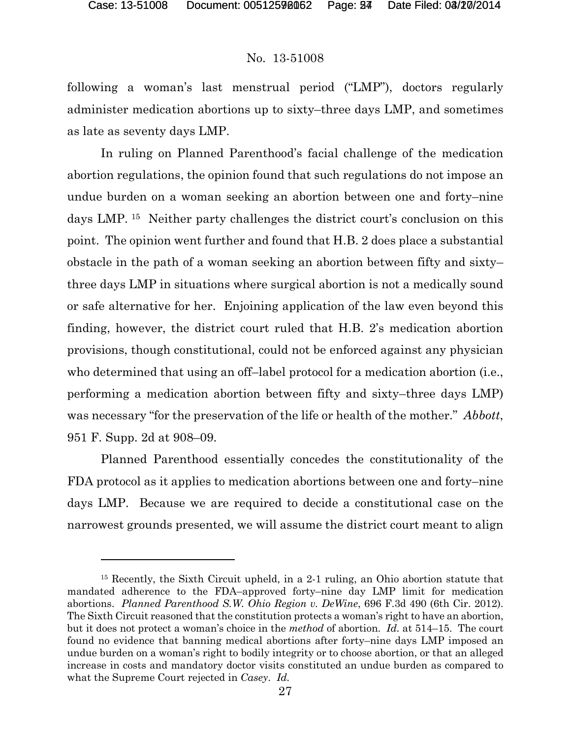l

# No. 13-51008

following a woman's last menstrual period ("LMP"), doctors regularly administer medication abortions up to sixty–three days LMP, and sometimes as late as seventy days LMP.

In ruling on Planned Parenthood's facial challenge of the medication abortion regulations, the opinion found that such regulations do not impose an undue burden on a woman seeking an abortion between one and forty–nine days LMP. [15](#page-53-0) Neither party challenges the district court's conclusion on this point. The opinion went further and found that H.B. 2 does place a substantial obstacle in the path of a woman seeking an abortion between fifty and sixty– three days LMP in situations where surgical abortion is not a medically sound or safe alternative for her. Enjoining application of the law even beyond this finding, however, the district court ruled that H.B. 2's medication abortion provisions, though constitutional, could not be enforced against any physician who determined that using an off–label protocol for a medication abortion (i.e., performing a medication abortion between fifty and sixty–three days LMP) was necessary "for the preservation of the life or health of the mother." *Abbott*, 951 F. Supp. 2d at 908–09.

Planned Parenthood essentially concedes the constitutionality of the FDA protocol as it applies to medication abortions between one and forty–nine days LMP. Because we are required to decide a constitutional case on the narrowest grounds presented, we will assume the district court meant to align

<span id="page-53-0"></span><sup>15</sup> Recently, the Sixth Circuit upheld, in a 2-1 ruling, an Ohio abortion statute that mandated adherence to the FDA–approved forty–nine day LMP limit for medication abortions. *Planned Parenthood S.W. Ohio Region v. DeWine*, 696 F.3d 490 (6th Cir. 2012). The Sixth Circuit reasoned that the constitution protects a woman's right to have an abortion, but it does not protect a woman's choice in the *method* of abortion. *Id.* at 514–15. The court found no evidence that banning medical abortions after forty–nine days LMP imposed an undue burden on a woman's right to bodily integrity or to choose abortion, or that an alleged increase in costs and mandatory doctor visits constituted an undue burden as compared to what the Supreme Court rejected in *Casey*. *Id.*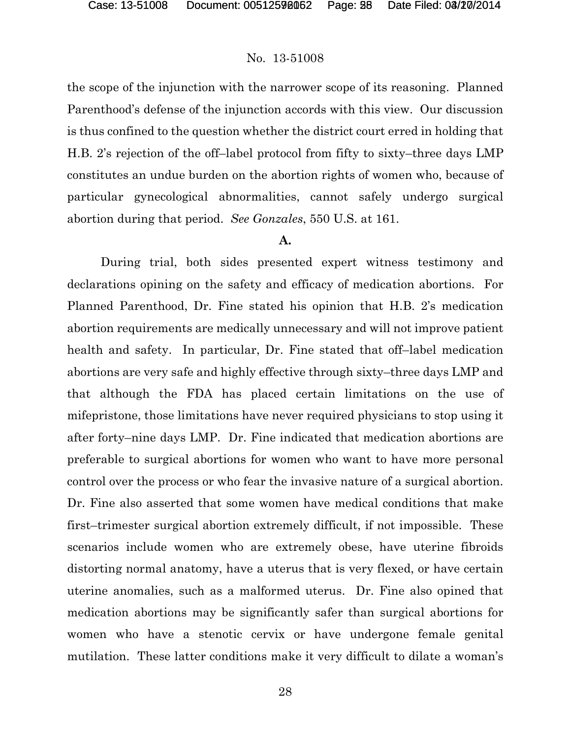the scope of the injunction with the narrower scope of its reasoning. Planned Parenthood's defense of the injunction accords with this view. Our discussion is thus confined to the question whether the district court erred in holding that H.B. 2's rejection of the off–label protocol from fifty to sixty–three days LMP constitutes an undue burden on the abortion rights of women who, because of particular gynecological abnormalities, cannot safely undergo surgical abortion during that period. *See Gonzales*, 550 U.S. at 161.

### **A.**

During trial, both sides presented expert witness testimony and declarations opining on the safety and efficacy of medication abortions. For Planned Parenthood, Dr. Fine stated his opinion that H.B. 2's medication abortion requirements are medically unnecessary and will not improve patient health and safety. In particular, Dr. Fine stated that off–label medication abortions are very safe and highly effective through sixty–three days LMP and that although the FDA has placed certain limitations on the use of mifepristone, those limitations have never required physicians to stop using it after forty–nine days LMP. Dr. Fine indicated that medication abortions are preferable to surgical abortions for women who want to have more personal control over the process or who fear the invasive nature of a surgical abortion. Dr. Fine also asserted that some women have medical conditions that make first–trimester surgical abortion extremely difficult, if not impossible. These scenarios include women who are extremely obese, have uterine fibroids distorting normal anatomy, have a uterus that is very flexed, or have certain uterine anomalies, such as a malformed uterus. Dr. Fine also opined that medication abortions may be significantly safer than surgical abortions for women who have a stenotic cervix or have undergone female genital mutilation. These latter conditions make it very difficult to dilate a woman's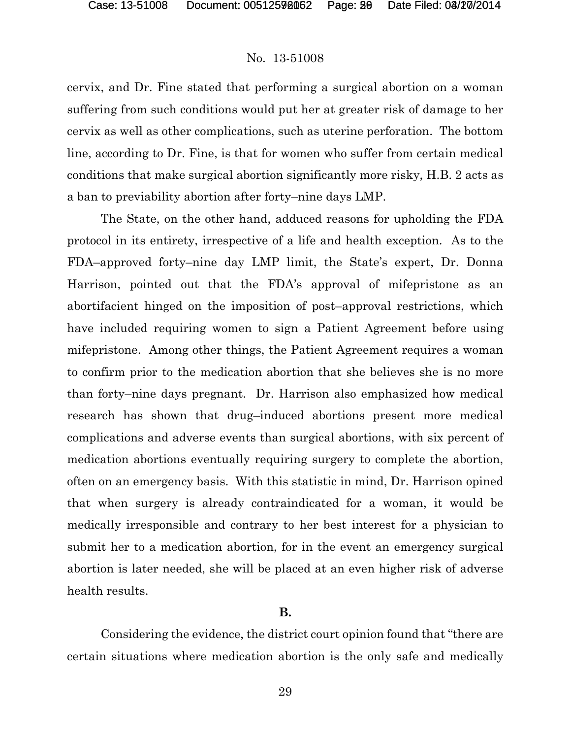cervix, and Dr. Fine stated that performing a surgical abortion on a woman suffering from such conditions would put her at greater risk of damage to her cervix as well as other complications, such as uterine perforation. The bottom line, according to Dr. Fine, is that for women who suffer from certain medical conditions that make surgical abortion significantly more risky, H.B. 2 acts as a ban to previability abortion after forty–nine days LMP.

The State, on the other hand, adduced reasons for upholding the FDA protocol in its entirety, irrespective of a life and health exception. As to the FDA–approved forty–nine day LMP limit, the State's expert, Dr. Donna Harrison, pointed out that the FDA's approval of mifepristone as an abortifacient hinged on the imposition of post–approval restrictions, which have included requiring women to sign a Patient Agreement before using mifepristone. Among other things, the Patient Agreement requires a woman to confirm prior to the medication abortion that she believes she is no more than forty–nine days pregnant. Dr. Harrison also emphasized how medical research has shown that drug–induced abortions present more medical complications and adverse events than surgical abortions, with six percent of medication abortions eventually requiring surgery to complete the abortion, often on an emergency basis. With this statistic in mind, Dr. Harrison opined that when surgery is already contraindicated for a woman, it would be medically irresponsible and contrary to her best interest for a physician to submit her to a medication abortion, for in the event an emergency surgical abortion is later needed, she will be placed at an even higher risk of adverse health results.

#### **B.**

Considering the evidence, the district court opinion found that "there are certain situations where medication abortion is the only safe and medically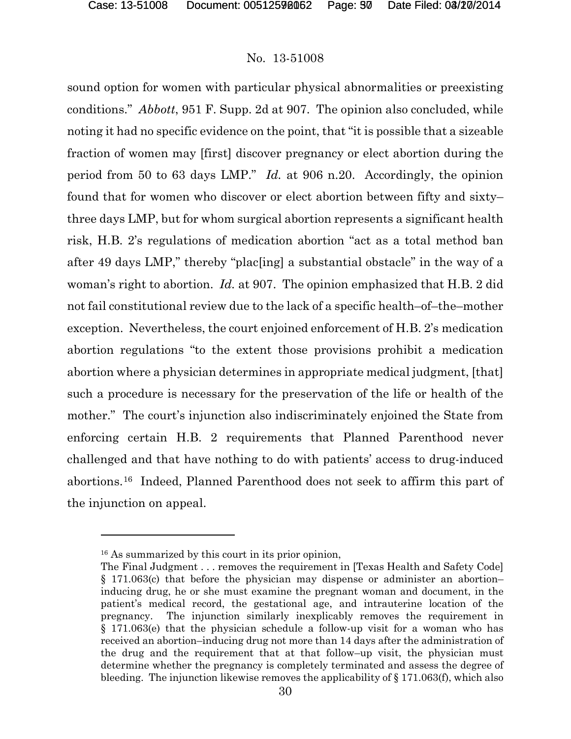sound option for women with particular physical abnormalities or preexisting conditions." *Abbott*, 951 F. Supp. 2d at 907. The opinion also concluded, while noting it had no specific evidence on the point, that "it is possible that a sizeable fraction of women may [first] discover pregnancy or elect abortion during the period from 50 to 63 days LMP." *Id.* at 906 n.20. Accordingly, the opinion found that for women who discover or elect abortion between fifty and sixty– three days LMP, but for whom surgical abortion represents a significant health risk, H.B. 2's regulations of medication abortion "act as a total method ban after 49 days LMP," thereby "plac[ing] a substantial obstacle" in the way of a woman's right to abortion. *Id.* at 907. The opinion emphasized that H.B. 2 did not fail constitutional review due to the lack of a specific health–of–the–mother exception. Nevertheless, the court enjoined enforcement of H.B. 2's medication abortion regulations "to the extent those provisions prohibit a medication abortion where a physician determines in appropriate medical judgment, [that] such a procedure is necessary for the preservation of the life or health of the mother." The court's injunction also indiscriminately enjoined the State from enforcing certain H.B. 2 requirements that Planned Parenthood never challenged and that have nothing to do with patients' access to drug-induced abortions.[16](#page-56-0) Indeed, Planned Parenthood does not seek to affirm this part of the injunction on appeal.

 $\overline{a}$ 

<span id="page-56-0"></span><sup>16</sup> As summarized by this court in its prior opinion,

The Final Judgment . . . removes the requirement in [Texas Health and Safety Code] § 171.063(c) that before the physician may dispense or administer an abortion– inducing drug, he or she must examine the pregnant woman and document, in the patient's medical record, the gestational age, and intrauterine location of the pregnancy. The injunction similarly inexplicably removes the requirement in § 171.063(e) that the physician schedule a follow-up visit for a woman who has received an abortion–inducing drug not more than 14 days after the administration of the drug and the requirement that at that follow–up visit, the physician must determine whether the pregnancy is completely terminated and assess the degree of bleeding. The injunction likewise removes the applicability of § 171.063(f), which also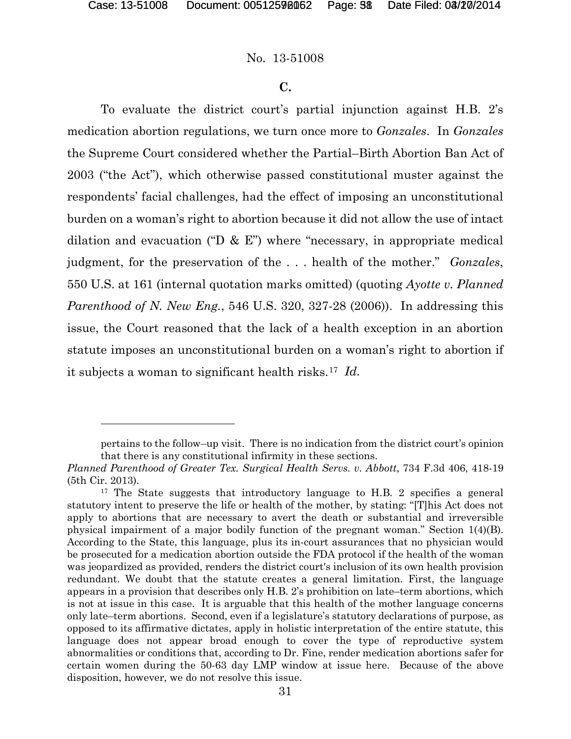l

#### No. 13-51008

#### **C.**

To evaluate the district court's partial injunction against H.B. 2's medication abortion regulations, we turn once more to *Gonzales*. In *Gonzales* the Supreme Court considered whether the Partial–Birth Abortion Ban Act of 2003 ("the Act"), which otherwise passed constitutional muster against the respondents' facial challenges, had the effect of imposing an unconstitutional burden on a woman's right to abortion because it did not allow the use of intact dilation and evacuation ("D  $\&$  E") where "necessary, in appropriate medical judgment, for the preservation of the . . . health of the mother." *Gonzales*, 550 U.S. at 161 (internal quotation marks omitted) (quoting *Ayotte v. Planned Parenthood of N. New Eng.*, 546 U.S. 320, 327-28 (2006)). In addressing this issue, the Court reasoned that the lack of a health exception in an abortion statute imposes an unconstitutional burden on a woman's right to abortion if it subjects a woman to significant health risks.[17](#page-57-0) *Id.*

pertains to the follow–up visit. There is no indication from the district court's opinion that there is any constitutional infirmity in these sections.

*Planned Parenthood of Greater Tex. Surgical Health Servs. v. Abbott*, 734 F.3d 406, 418-19 (5th Cir. 2013).

<span id="page-57-0"></span><sup>&</sup>lt;sup>17</sup> The State suggests that introductory language to H.B. 2 specifies a general statutory intent to preserve the life or health of the mother, by stating: "[T]his Act does not apply to abortions that are necessary to avert the death or substantial and irreversible physical impairment of a major bodily function of the pregnant woman." Section 1(4)(B). According to the State, this language, plus its in-court assurances that no physician would be prosecuted for a medication abortion outside the FDA protocol if the health of the woman was jeopardized as provided, renders the district court's inclusion of its own health provision redundant. We doubt that the statute creates a general limitation. First, the language appears in a provision that describes only H.B. 2's prohibition on late–term abortions, which is not at issue in this case. It is arguable that this health of the mother language concerns only late–term abortions. Second, even if a legislature's statutory declarations of purpose, as opposed to its affirmative dictates, apply in holistic interpretation of the entire statute, this language does not appear broad enough to cover the type of reproductive system abnormalities or conditions that, according to Dr. Fine, render medication abortions safer for certain women during the 50-63 day LMP window at issue here. Because of the above disposition, however, we do not resolve this issue.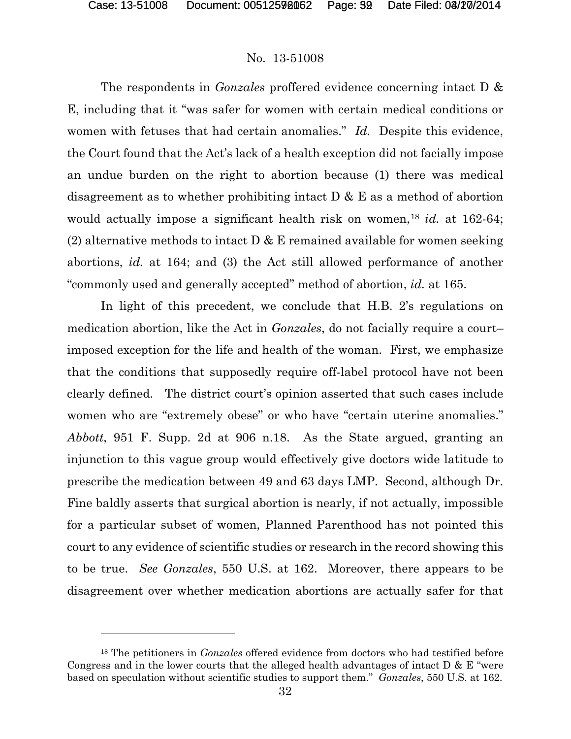$\overline{a}$ 

# No. 13-51008

The respondents in *Gonzales* proffered evidence concerning intact D & E, including that it "was safer for women with certain medical conditions or women with fetuses that had certain anomalies." *Id.* Despite this evidence, the Court found that the Act's lack of a health exception did not facially impose an undue burden on the right to abortion because (1) there was medical disagreement as to whether prohibiting intact  $D \& E$  as a method of abortion would actually impose a significant health risk on women,<sup>[18](#page-58-0)</sup> *id.* at 162-64; (2) alternative methods to intact  $D \& E$  remained available for women seeking abortions, *id.* at 164; and (3) the Act still allowed performance of another "commonly used and generally accepted" method of abortion, *id.* at 165.

In light of this precedent, we conclude that H.B. 2's regulations on medication abortion, like the Act in *Gonzales*, do not facially require a court– imposed exception for the life and health of the woman. First, we emphasize that the conditions that supposedly require off-label protocol have not been clearly defined. The district court's opinion asserted that such cases include women who are "extremely obese" or who have "certain uterine anomalies." *Abbott*, 951 F. Supp. 2d at 906 n.18. As the State argued, granting an injunction to this vague group would effectively give doctors wide latitude to prescribe the medication between 49 and 63 days LMP. Second, although Dr. Fine baldly asserts that surgical abortion is nearly, if not actually, impossible for a particular subset of women, Planned Parenthood has not pointed this court to any evidence of scientific studies or research in the record showing this to be true. *See Gonzales*, 550 U.S. at 162. Moreover, there appears to be disagreement over whether medication abortions are actually safer for that

<span id="page-58-0"></span><sup>18</sup> The petitioners in *Gonzales* offered evidence from doctors who had testified before Congress and in the lower courts that the alleged health advantages of intact  $D \& E$  "were based on speculation without scientific studies to support them." *Gonzales*, 550 U.S. at 162.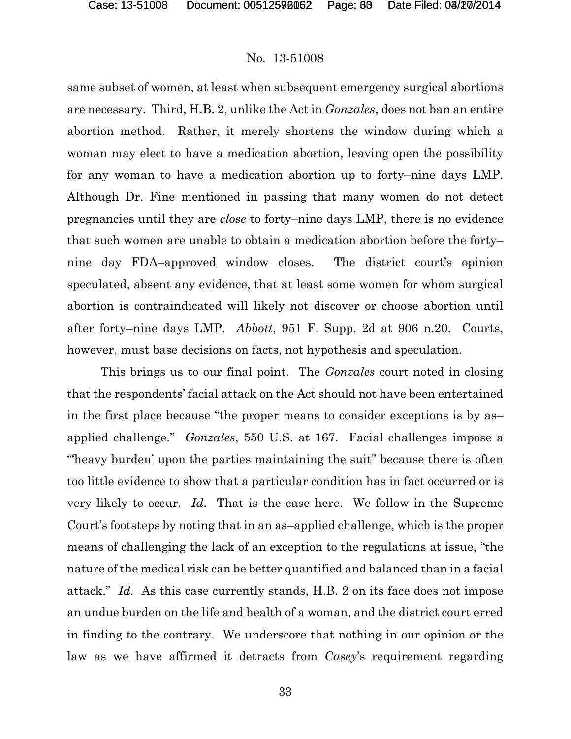same subset of women, at least when subsequent emergency surgical abortions are necessary. Third, H.B. 2, unlike the Act in *Gonzales*, does not ban an entire abortion method. Rather, it merely shortens the window during which a woman may elect to have a medication abortion, leaving open the possibility for any woman to have a medication abortion up to forty–nine days LMP. Although Dr. Fine mentioned in passing that many women do not detect pregnancies until they are *close* to forty–nine days LMP, there is no evidence that such women are unable to obtain a medication abortion before the forty– nine day FDA–approved window closes. The district court's opinion speculated, absent any evidence, that at least some women for whom surgical abortion is contraindicated will likely not discover or choose abortion until after forty–nine days LMP. *Abbott*, 951 F. Supp. 2d at 906 n.20. Courts, however, must base decisions on facts, not hypothesis and speculation.

This brings us to our final point. The *Gonzales* court noted in closing that the respondents' facial attack on the Act should not have been entertained in the first place because "the proper means to consider exceptions is by as– applied challenge." *Gonzales*, 550 U.S. at 167. Facial challenges impose a "heavy burden' upon the parties maintaining the suit" because there is often too little evidence to show that a particular condition has in fact occurred or is very likely to occur. *Id*. That is the case here. We follow in the Supreme Court's footsteps by noting that in an as–applied challenge, which is the proper means of challenging the lack of an exception to the regulations at issue, "the nature of the medical risk can be better quantified and balanced than in a facial attack." *Id.* As this case currently stands, H.B. 2 on its face does not impose an undue burden on the life and health of a woman, and the district court erred in finding to the contrary. We underscore that nothing in our opinion or the law as we have affirmed it detracts from *Casey*'s requirement regarding